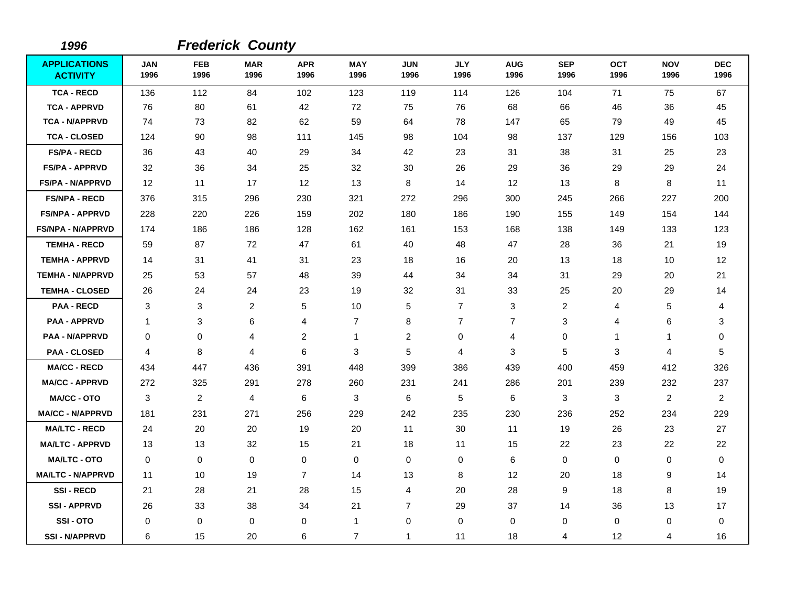| 1996                                   |                    |                         | <b>Frederick County</b> |                    |                    |                    |                    |                    |                    |                    |                    |                    |
|----------------------------------------|--------------------|-------------------------|-------------------------|--------------------|--------------------|--------------------|--------------------|--------------------|--------------------|--------------------|--------------------|--------------------|
| <b>APPLICATIONS</b><br><b>ACTIVITY</b> | <b>JAN</b><br>1996 | <b>FEB</b><br>1996      | <b>MAR</b><br>1996      | <b>APR</b><br>1996 | <b>MAY</b><br>1996 | <b>JUN</b><br>1996 | <b>JLY</b><br>1996 | <b>AUG</b><br>1996 | <b>SEP</b><br>1996 | <b>OCT</b><br>1996 | <b>NOV</b><br>1996 | <b>DEC</b><br>1996 |
| <b>TCA - RECD</b>                      | 136                | 112                     | 84                      | 102                | 123                | 119                | 114                | 126                | 104                | 71                 | 75                 | 67                 |
| <b>TCA - APPRVD</b>                    | 76                 | 80                      | 61                      | 42                 | 72                 | 75                 | 76                 | 68                 | 66                 | 46                 | 36                 | 45                 |
| <b>TCA - N/APPRVD</b>                  | 74                 | 73                      | 82                      | 62                 | 59                 | 64                 | 78                 | 147                | 65                 | 79                 | 49                 | 45                 |
| <b>TCA - CLOSED</b>                    | 124                | 90                      | 98                      | 111                | 145                | 98                 | 104                | 98                 | 137                | 129                | 156                | 103                |
| <b>FS/PA - RECD</b>                    | 36                 | 43                      | 40                      | 29                 | 34                 | 42                 | 23                 | 31                 | 38                 | 31                 | 25                 | 23                 |
| <b>FS/PA - APPRVD</b>                  | 32                 | 36                      | 34                      | 25                 | 32                 | 30                 | 26                 | 29                 | 36                 | 29                 | 29                 | 24                 |
| <b>FS/PA - N/APPRVD</b>                | 12                 | 11                      | 17                      | 12                 | 13                 | 8                  | 14                 | 12                 | 13                 | 8                  | 8                  | 11                 |
| <b>FS/NPA - RECD</b>                   | 376                | 315                     | 296                     | 230                | 321                | 272                | 296                | 300                | 245                | 266                | 227                | 200                |
| <b>FS/NPA - APPRVD</b>                 | 228                | 220                     | 226                     | 159                | 202                | 180                | 186                | 190                | 155                | 149                | 154                | 144                |
| <b>FS/NPA - N/APPRVD</b>               | 174                | 186                     | 186                     | 128                | 162                | 161                | 153                | 168                | 138                | 149                | 133                | 123                |
| <b>TEMHA - RECD</b>                    | 59                 | 87                      | 72                      | 47                 | 61                 | 40                 | 48                 | 47                 | 28                 | 36                 | 21                 | 19                 |
| <b>TEMHA - APPRVD</b>                  | 14                 | 31                      | 41                      | 31                 | 23                 | 18                 | 16                 | 20                 | 13                 | 18                 | 10                 | 12                 |
| <b>TEMHA - N/APPRVD</b>                | 25                 | 53                      | 57                      | 48                 | 39                 | 44                 | 34                 | 34                 | 31                 | 29                 | 20                 | 21                 |
| <b>TEMHA - CLOSED</b>                  | 26                 | 24                      | 24                      | 23                 | 19                 | 32                 | 31                 | 33                 | 25                 | 20                 | 29                 | 14                 |
| <b>PAA - RECD</b>                      | 3                  | 3                       | $\overline{2}$          | 5                  | 10                 | 5                  | $\overline{7}$     | 3                  | 2                  | 4                  | 5                  | 4                  |
| <b>PAA - APPRVD</b>                    | -1                 | 3                       | 6                       | 4                  | 7                  | 8                  | $\overline{7}$     | 7                  | 3                  | 4                  | 6                  | 3                  |
| <b>PAA - N/APPRVD</b>                  | 0                  | 0                       | 4                       | $\boldsymbol{2}$   | $\mathbf{1}$       | $\overline{c}$     | 0                  | 4                  | 0                  | 1                  | $\mathbf{1}$       | 0                  |
| <b>PAA - CLOSED</b>                    | 4                  | 8                       | 4                       | 6                  | 3                  | 5                  | 4                  | 3                  | 5                  | 3                  | 4                  | 5                  |
| <b>MA/CC - RECD</b>                    | 434                | 447                     | 436                     | 391                | 448                | 399                | 386                | 439                | 400                | 459                | 412                | 326                |
| <b>MA/CC - APPRVD</b>                  | 272                | 325                     | 291                     | 278                | 260                | 231                | 241                | 286                | 201                | 239                | 232                | 237                |
| <b>MA/CC - OTO</b>                     | $\mathbf{3}$       | $\overline{\mathbf{c}}$ | $\overline{4}$          | 6                  | 3                  | 6                  | 5                  | 6                  | 3                  | 3                  | $\boldsymbol{2}$   | $\overline{c}$     |
| <b>MA/CC - N/APPRVD</b>                | 181                | 231                     | 271                     | 256                | 229                | 242                | 235                | 230                | 236                | 252                | 234                | 229                |
| <b>MA/LTC - RECD</b>                   | 24                 | 20                      | 20                      | 19                 | 20                 | 11                 | 30                 | 11                 | 19                 | 26                 | 23                 | 27                 |
| <b>MA/LTC - APPRVD</b>                 | 13                 | 13                      | 32                      | 15                 | 21                 | 18                 | 11                 | 15                 | 22                 | 23                 | 22                 | 22                 |
| <b>MA/LTC - OTO</b>                    | 0                  | 0                       | $\mathbf 0$             | $\mathbf 0$        | $\pmb{0}$          | 0                  | 0                  | 6                  | $\mathbf 0$        | 0                  | $\pmb{0}$          | 0                  |
| <b>MA/LTC - N/APPRVD</b>               | 11                 | 10                      | 19                      | 7                  | 14                 | 13                 | 8                  | 12                 | 20                 | 18                 | 9                  | 14                 |
| <b>SSI-RECD</b>                        | 21                 | 28                      | 21                      | 28                 | 15                 | 4                  | 20                 | 28                 | 9                  | 18                 | 8                  | 19                 |
| <b>SSI-APPRVD</b>                      | 26                 | 33                      | 38                      | 34                 | 21                 | $\overline{7}$     | 29                 | 37                 | 14                 | 36                 | 13                 | 17                 |
| SSI-OTO                                | $\pmb{0}$          | 0                       | $\mathbf 0$             | 0                  | 1                  | 0                  | 0                  | 0                  | $\mathbf 0$        | 0                  | $\pmb{0}$          | 0                  |
| <b>SSI - N/APPRVD</b>                  | 6                  | 15                      | 20                      | 6                  | $\overline{7}$     | 1                  | 11                 | 18                 | 4                  | 12                 | 4                  | 16                 |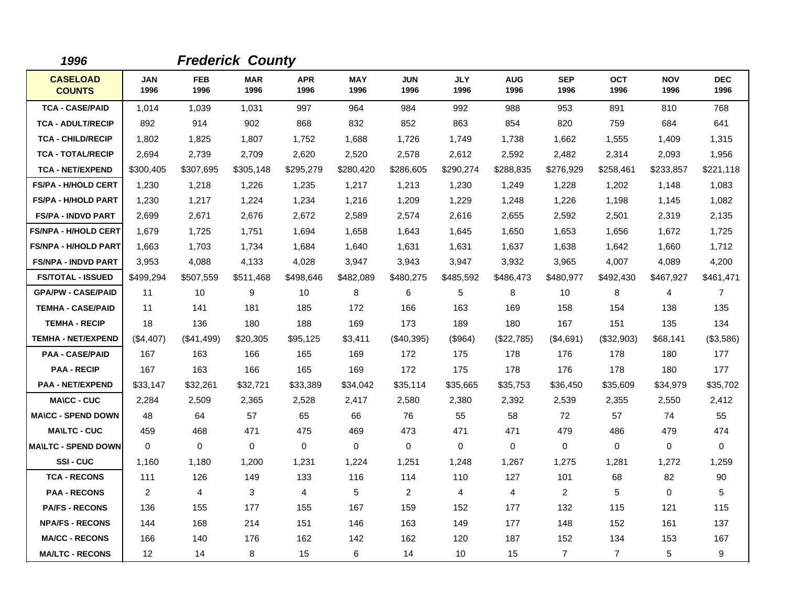| 1996                             |             |             | <b>Frederick County</b> |                    |                    |                    |                    |                    |                    |                    |                    |                    |
|----------------------------------|-------------|-------------|-------------------------|--------------------|--------------------|--------------------|--------------------|--------------------|--------------------|--------------------|--------------------|--------------------|
| <b>CASELOAD</b><br><b>COUNTS</b> | JAN<br>1996 | FEB<br>1996 | <b>MAR</b><br>1996      | <b>APR</b><br>1996 | <b>MAY</b><br>1996 | <b>JUN</b><br>1996 | <b>JLY</b><br>1996 | <b>AUG</b><br>1996 | <b>SEP</b><br>1996 | <b>OCT</b><br>1996 | <b>NOV</b><br>1996 | <b>DEC</b><br>1996 |
| <b>TCA - CASE/PAID</b>           | 1,014       | 1,039       | 1,031                   | 997                | 964                | 984                | 992                | 988                | 953                | 891                | 810                | 768                |
| <b>TCA - ADULT/RECIP</b>         | 892         | 914         | 902                     | 868                | 832                | 852                | 863                | 854                | 820                | 759                | 684                | 641                |
| <b>TCA - CHILD/RECIP</b>         | 1,802       | 1,825       | 1,807                   | 1,752              | 1,688              | 1,726              | 1,749              | 1,738              | 1,662              | 1,555              | 1,409              | 1,315              |
| <b>TCA - TOTAL/RECIP</b>         | 2,694       | 2,739       | 2,709                   | 2,620              | 2,520              | 2,578              | 2,612              | 2,592              | 2,482              | 2,314              | 2,093              | 1,956              |
| <b>TCA - NET/EXPEND</b>          | \$300,405   | \$307,695   | \$305,148               | \$295,279          | \$280,420          | \$286,605          | \$290,274          | \$288,835          | \$276,929          | \$258,461          | \$233,857          | \$221,118          |
| <b>FS/PA - H/HOLD CERT</b>       | 1,230       | 1,218       | 1,226                   | 1,235              | 1,217              | 1,213              | 1,230              | 1,249              | 1,228              | 1,202              | 1,148              | 1,083              |
| <b>FS/PA - H/HOLD PART</b>       | 1,230       | 1,217       | 1,224                   | 1,234              | 1,216              | 1,209              | 1,229              | 1,248              | 1,226              | 1,198              | 1,145              | 1,082              |
| <b>FS/PA - INDVD PART</b>        | 2,699       | 2,671       | 2,676                   | 2,672              | 2,589              | 2,574              | 2,616              | 2,655              | 2,592              | 2,501              | 2,319              | 2,135              |
| <b>FS/NPA - H/HOLD CERT</b>      | 1,679       | 1,725       | 1,751                   | 1,694              | 1,658              | 1,643              | 1,645              | 1,650              | 1,653              | 1,656              | 1,672              | 1,725              |
| <b>FS/NPA - H/HOLD PART</b>      | 1,663       | 1,703       | 1,734                   | 1,684              | 1,640              | 1,631              | 1,631              | 1,637              | 1,638              | 1,642              | 1,660              | 1,712              |
| <b>FS/NPA - INDVD PART</b>       | 3,953       | 4,088       | 4,133                   | 4,028              | 3,947              | 3,943              | 3,947              | 3,932              | 3,965              | 4,007              | 4,089              | 4,200              |
| <b>FS/TOTAL - ISSUED</b>         | \$499,294   | \$507,559   | \$511,468               | \$498,646          | \$482,089          | \$480,275          | \$485,592          | \$486,473          | \$480,977          | \$492,430          | \$467,927          | \$461,471          |
| <b>GPA/PW - CASE/PAID</b>        | 11          | 10          | 9                       | 10                 | 8                  | 6                  | 5                  | 8                  | 10                 | 8                  | 4                  | $\overline{7}$     |
| <b>TEMHA - CASE/PAID</b>         | 11          | 141         | 181                     | 185                | 172                | 166                | 163                | 169                | 158                | 154                | 138                | 135                |
| <b>TEMHA - RECIP</b>             | 18          | 136         | 180                     | 188                | 169                | 173                | 189                | 180                | 167                | 151                | 135                | 134                |
| <b>TEMHA - NET/EXPEND</b>        | (\$4,407)   | (\$41,499)  | \$20,305                | \$95,125           | \$3,411            | (\$40,395)         | (\$964)            | (\$22,785)         | (\$4,691)          | (\$32,903)         | \$68,141           | (\$3,586)          |
| <b>PAA - CASE/PAID</b>           | 167         | 163         | 166                     | 165                | 169                | 172                | 175                | 178                | 176                | 178                | 180                | 177                |
| <b>PAA - RECIP</b>               | 167         | 163         | 166                     | 165                | 169                | 172                | 175                | 178                | 176                | 178                | 180                | 177                |
| <b>PAA - NET/EXPEND</b>          | \$33,147    | \$32,261    | \$32,721                | \$33,389           | \$34,042           | \$35,114           | \$35,665           | \$35,753           | \$36,450           | \$35,609           | \$34,979           | \$35,702           |
| <b>MA\CC - CUC</b>               | 2,284       | 2,509       | 2,365                   | 2,528              | 2,417              | 2,580              | 2,380              | 2,392              | 2,539              | 2,355              | 2,550              | 2,412              |
| <b>MA\CC - SPEND DOWN</b>        | 48          | 64          | 57                      | 65                 | 66                 | 76                 | 55                 | 58                 | 72                 | 57                 | 74                 | 55                 |
| <b>MA\LTC - CUC</b>              | 459         | 468         | 471                     | 475                | 469                | 473                | 471                | 471                | 479                | 486                | 479                | 474                |
| <b>MA\LTC - SPEND DOWN</b>       | $\mathbf 0$ | 0           | $\mathbf 0$             | $\mathbf 0$        | $\mathbf 0$        | $\mathbf 0$        | $\mathbf 0$        | $\mathbf 0$        | $\mathbf 0$        | 0                  | $\mathbf 0$        | $\mathbf 0$        |
| SSI-CUC                          | 1,160       | 1,180       | 1,200                   | 1,231              | 1,224              | 1,251              | 1,248              | 1,267              | 1,275              | 1,281              | 1,272              | 1,259              |
| <b>TCA - RECONS</b>              | 111         | 126         | 149                     | 133                | 116                | 114                | 110                | 127                | 101                | 68                 | 82                 | 90                 |
| <b>PAA - RECONS</b>              | 2           | 4           | 3                       | 4                  | 5                  | 2                  | 4                  | 4                  | 2                  | 5                  | $\mathbf 0$        | 5                  |
| <b>PA/FS - RECONS</b>            | 136         | 155         | 177                     | 155                | 167                | 159                | 152                | 177                | 132                | 115                | 121                | 115                |
| <b>NPA/FS - RECONS</b>           | 144         | 168         | 214                     | 151                | 146                | 163                | 149                | 177                | 148                | 152                | 161                | 137                |
| <b>MA/CC - RECONS</b>            | 166         | 140         | 176                     | 162                | 142                | 162                | 120                | 187                | 152                | 134                | 153                | 167                |
| <b>MA/LTC - RECONS</b>           | 12          | 14          | 8                       | 15                 | 6                  | 14                 | 10                 | 15                 | $\overline{7}$     | $\overline{7}$     | $\,$ 5 $\,$        | 9                  |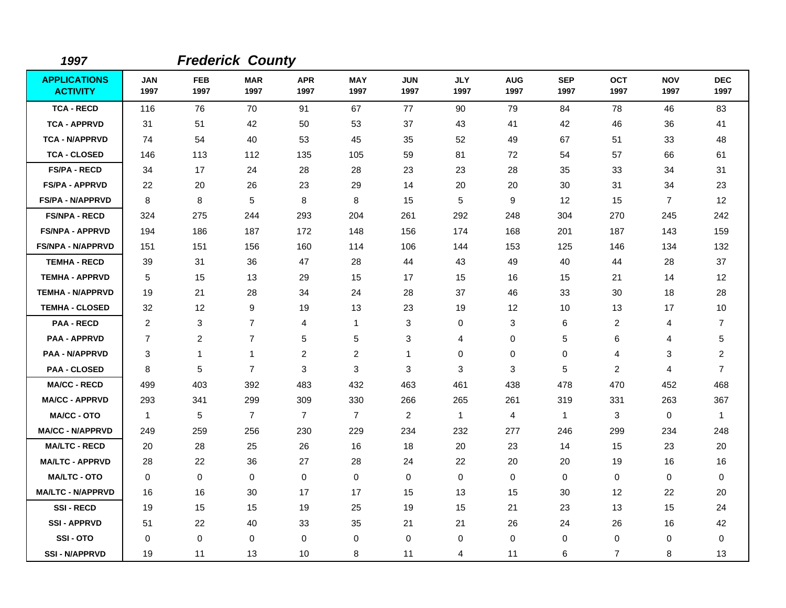| 1997                                   |                    |                    | <b>Frederick County</b> |                    |                    |                    |                    |                    |                    |                    |                    |                         |
|----------------------------------------|--------------------|--------------------|-------------------------|--------------------|--------------------|--------------------|--------------------|--------------------|--------------------|--------------------|--------------------|-------------------------|
| <b>APPLICATIONS</b><br><b>ACTIVITY</b> | <b>JAN</b><br>1997 | <b>FEB</b><br>1997 | <b>MAR</b><br>1997      | <b>APR</b><br>1997 | <b>MAY</b><br>1997 | <b>JUN</b><br>1997 | <b>JLY</b><br>1997 | <b>AUG</b><br>1997 | <b>SEP</b><br>1997 | <b>OCT</b><br>1997 | <b>NOV</b><br>1997 | <b>DEC</b><br>1997      |
| <b>TCA - RECD</b>                      | 116                | 76                 | 70                      | 91                 | 67                 | 77                 | 90                 | 79                 | 84                 | 78                 | 46                 | 83                      |
| <b>TCA - APPRVD</b>                    | 31                 | 51                 | 42                      | 50                 | 53                 | 37                 | 43                 | 41                 | 42                 | 46                 | 36                 | 41                      |
| <b>TCA - N/APPRVD</b>                  | 74                 | 54                 | 40                      | 53                 | 45                 | 35                 | 52                 | 49                 | 67                 | 51                 | 33                 | 48                      |
| <b>TCA - CLOSED</b>                    | 146                | 113                | 112                     | 135                | 105                | 59                 | 81                 | 72                 | 54                 | 57                 | 66                 | 61                      |
| <b>FS/PA - RECD</b>                    | 34                 | 17                 | 24                      | 28                 | 28                 | 23                 | 23                 | 28                 | 35                 | 33                 | 34                 | 31                      |
| <b>FS/PA - APPRVD</b>                  | 22                 | 20                 | 26                      | 23                 | 29                 | 14                 | 20                 | 20                 | 30                 | 31                 | 34                 | 23                      |
| <b>FS/PA - N/APPRVD</b>                | 8                  | 8                  | 5                       | 8                  | 8                  | 15                 | 5                  | 9                  | 12                 | 15                 | $\overline{7}$     | 12                      |
| <b>FS/NPA - RECD</b>                   | 324                | 275                | 244                     | 293                | 204                | 261                | 292                | 248                | 304                | 270                | 245                | 242                     |
| <b>FS/NPA - APPRVD</b>                 | 194                | 186                | 187                     | 172                | 148                | 156                | 174                | 168                | 201                | 187                | 143                | 159                     |
| <b>FS/NPA - N/APPRVD</b>               | 151                | 151                | 156                     | 160                | 114                | 106                | 144                | 153                | 125                | 146                | 134                | 132                     |
| <b>TEMHA - RECD</b>                    | 39                 | 31                 | 36                      | 47                 | 28                 | 44                 | 43                 | 49                 | 40                 | 44                 | 28                 | 37                      |
| <b>TEMHA - APPRVD</b>                  | 5                  | 15                 | 13                      | 29                 | 15                 | 17                 | 15                 | 16                 | 15                 | 21                 | 14                 | 12                      |
| <b>TEMHA - N/APPRVD</b>                | 19                 | 21                 | 28                      | 34                 | 24                 | 28                 | 37                 | 46                 | 33                 | 30                 | 18                 | 28                      |
| <b>TEMHA - CLOSED</b>                  | 32                 | 12                 | 9                       | 19                 | 13                 | 23                 | 19                 | 12                 | 10                 | 13                 | 17                 | 10                      |
| <b>PAA - RECD</b>                      | 2                  | 3                  | $\overline{7}$          | $\overline{4}$     | $\mathbf{1}$       | 3                  | $\Omega$           | 3                  | 6                  | $\overline{2}$     | 4                  | $\overline{7}$          |
| <b>PAA - APPRVD</b>                    | $\overline{7}$     | $\overline{c}$     | $\overline{7}$          | 5                  | 5                  | 3                  | 4                  | 0                  | 5                  | 6                  | 4                  | 5                       |
| PAA - N/APPRVD                         | 3                  | $\mathbf 1$        | 1                       | $\overline{c}$     | $\overline{c}$     | 1                  | 0                  | 0                  | 0                  | $\overline{4}$     | 3                  | $\overline{\mathbf{c}}$ |
| <b>PAA - CLOSED</b>                    | 8                  | 5                  | $\overline{7}$          | 3                  | 3                  | 3                  | 3                  | 3                  | 5                  | $\overline{c}$     | 4                  | $\overline{7}$          |
| <b>MA/CC - RECD</b>                    | 499                | 403                | 392                     | 483                | 432                | 463                | 461                | 438                | 478                | 470                | 452                | 468                     |
| <b>MA/CC - APPRVD</b>                  | 293                | 341                | 299                     | 309                | 330                | 266                | 265                | 261                | 319                | 331                | 263                | 367                     |
| <b>MA/CC - OTO</b>                     | $\mathbf{1}$       | 5                  | $\overline{7}$          | $\overline{7}$     | $\overline{7}$     | $\overline{2}$     | $\overline{1}$     | 4                  | $\mathbf{1}$       | 3                  | 0                  | 1                       |
| <b>MA/CC - N/APPRVD</b>                | 249                | 259                | 256                     | 230                | 229                | 234                | 232                | 277                | 246                | 299                | 234                | 248                     |
| <b>MA/LTC - RECD</b>                   | 20                 | 28                 | 25                      | 26                 | 16                 | 18                 | 20                 | 23                 | 14                 | 15                 | 23                 | 20                      |
| <b>MA/LTC - APPRVD</b>                 | 28                 | 22                 | 36                      | 27                 | 28                 | 24                 | 22                 | 20                 | 20                 | 19                 | 16                 | 16                      |
| <b>MA/LTC - OTO</b>                    | $\Omega$           | 0                  | 0                       | $\Omega$           | 0                  | $\mathbf 0$        | $\Omega$           | 0                  | $\mathbf 0$        | 0                  | $\pmb{0}$          | 0                       |
| <b>MA/LTC - N/APPRVD</b>               | 16                 | 16                 | 30                      | 17                 | 17                 | 15                 | 13                 | 15                 | 30                 | 12                 | 22                 | 20                      |
| <b>SSI-RECD</b>                        | 19                 | 15                 | 15                      | 19                 | 25                 | 19                 | 15                 | 21                 | 23                 | 13                 | 15                 | 24                      |
| <b>SSI-APPRVD</b>                      | 51                 | 22                 | 40                      | 33                 | 35                 | 21                 | 21                 | 26                 | 24                 | 26                 | 16                 | 42                      |
| SSI-OTO                                | 0                  | 0                  | 0                       | 0                  | 0                  | 0                  | 0                  | 0                  | $\mathbf 0$        | 0                  | 0                  | 0                       |
| <b>SSI-N/APPRVD</b>                    | 19                 | 11                 | 13                      | 10                 | 8                  | 11                 | 4                  | 11                 | 6                  | $\overline{7}$     | 8                  | 13                      |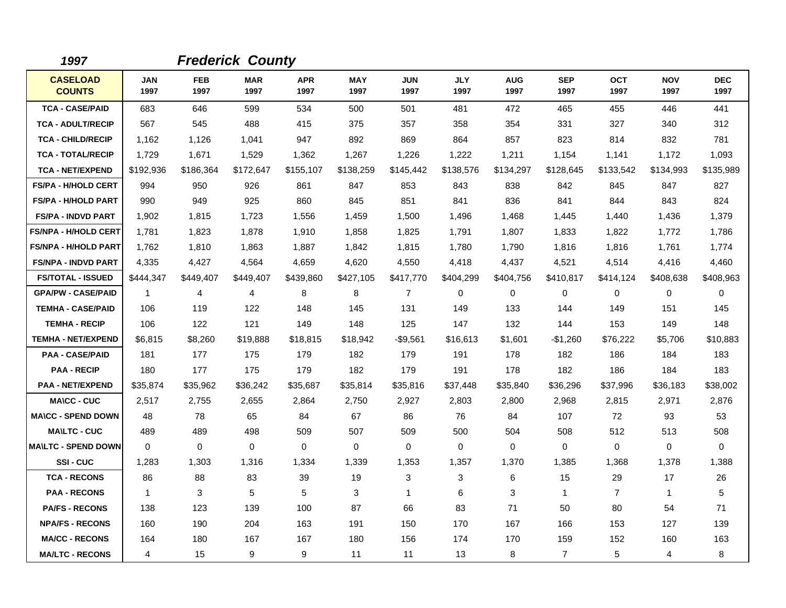| 1997                             |                    |                    | <b>Frederick County</b> |                    |                    |                    |                    |                    |                    |                    |                    |                    |
|----------------------------------|--------------------|--------------------|-------------------------|--------------------|--------------------|--------------------|--------------------|--------------------|--------------------|--------------------|--------------------|--------------------|
| <b>CASELOAD</b><br><b>COUNTS</b> | <b>JAN</b><br>1997 | <b>FEB</b><br>1997 | <b>MAR</b><br>1997      | <b>APR</b><br>1997 | <b>MAY</b><br>1997 | <b>JUN</b><br>1997 | <b>JLY</b><br>1997 | <b>AUG</b><br>1997 | <b>SEP</b><br>1997 | <b>OCT</b><br>1997 | <b>NOV</b><br>1997 | <b>DEC</b><br>1997 |
| <b>TCA - CASE/PAID</b>           | 683                | 646                | 599                     | 534                | 500                | 501                | 481                | 472                | 465                | 455                | 446                | 441                |
| <b>TCA - ADULT/RECIP</b>         | 567                | 545                | 488                     | 415                | 375                | 357                | 358                | 354                | 331                | 327                | 340                | 312                |
| <b>TCA - CHILD/RECIP</b>         | 1,162              | 1,126              | 1,041                   | 947                | 892                | 869                | 864                | 857                | 823                | 814                | 832                | 781                |
| <b>TCA - TOTAL/RECIP</b>         | 1,729              | 1,671              | 1,529                   | 1,362              | 1,267              | 1,226              | 1,222              | 1,211              | 1,154              | 1,141              | 1,172              | 1,093              |
| <b>TCA - NET/EXPEND</b>          | \$192,936          | \$186,364          | \$172,647               | \$155,107          | \$138,259          | \$145,442          | \$138,576          | \$134,297          | \$128,645          | \$133,542          | \$134,993          | \$135,989          |
| <b>FS/PA - H/HOLD CERT</b>       | 994                | 950                | 926                     | 861                | 847                | 853                | 843                | 838                | 842                | 845                | 847                | 827                |
| <b>FS/PA - H/HOLD PART</b>       | 990                | 949                | 925                     | 860                | 845                | 851                | 841                | 836                | 841                | 844                | 843                | 824                |
| <b>FS/PA - INDVD PART</b>        | 1,902              | 1,815              | 1,723                   | 1,556              | 1,459              | 1,500              | 1,496              | 1,468              | 1,445              | 1,440              | 1,436              | 1,379              |
| <b>FS/NPA - H/HOLD CERT</b>      | 1,781              | 1,823              | 1,878                   | 1,910              | 1,858              | 1,825              | 1,791              | 1,807              | 1,833              | 1,822              | 1,772              | 1,786              |
| <b>FS/NPA - H/HOLD PART</b>      | 1,762              | 1,810              | 1,863                   | 1,887              | 1,842              | 1,815              | 1,780              | 1,790              | 1,816              | 1,816              | 1,761              | 1,774              |
| <b>FS/NPA - INDVD PART</b>       | 4,335              | 4,427              | 4,564                   | 4,659              | 4,620              | 4,550              | 4,418              | 4,437              | 4,521              | 4,514              | 4,416              | 4,460              |
| <b>FS/TOTAL - ISSUED</b>         | \$444,347          | \$449,407          | \$449,407               | \$439,860          | \$427,105          | \$417,770          | \$404,299          | \$404,756          | \$410,817          | \$414,124          | \$408,638          | \$408,963          |
| <b>GPA/PW - CASE/PAID</b>        | 1                  | 4                  | 4                       | 8                  | 8                  | $\overline{7}$     | 0                  | 0                  | 0                  | 0                  | $\mathbf 0$        | $\mathbf 0$        |
| <b>TEMHA - CASE/PAID</b>         | 106                | 119                | 122                     | 148                | 145                | 131                | 149                | 133                | 144                | 149                | 151                | 145                |
| <b>TEMHA - RECIP</b>             | 106                | 122                | 121                     | 149                | 148                | 125                | 147                | 132                | 144                | 153                | 149                | 148                |
| <b>TEMHA - NET/EXPEND</b>        | \$6,815            | \$8,260            | \$19,888                | \$18,815           | \$18,942           | $-$9,561$          | \$16,613           | \$1,601            | $-$1,260$          | \$76,222           | \$5,706            | \$10,883           |
| <b>PAA - CASE/PAID</b>           | 181                | 177                | 175                     | 179                | 182                | 179                | 191                | 178                | 182                | 186                | 184                | 183                |
| <b>PAA - RECIP</b>               | 180                | 177                | 175                     | 179                | 182                | 179                | 191                | 178                | 182                | 186                | 184                | 183                |
| <b>PAA - NET/EXPEND</b>          | \$35,874           | \$35,962           | \$36,242                | \$35,687           | \$35,814           | \$35,816           | \$37,448           | \$35,840           | \$36,296           | \$37,996           | \$36,183           | \$38,002           |
| <b>MA\CC - CUC</b>               | 2.517              | 2,755              | 2,655                   | 2,864              | 2,750              | 2,927              | 2,803              | 2,800              | 2,968              | 2,815              | 2,971              | 2,876              |
| <b>MA\CC - SPEND DOWN</b>        | 48                 | 78                 | 65                      | 84                 | 67                 | 86                 | 76                 | 84                 | 107                | 72                 | 93                 | 53                 |
| <b>MAILTC - CUC</b>              | 489                | 489                | 498                     | 509                | 507                | 509                | 500                | 504                | 508                | 512                | 513                | 508                |
| <b>IMA\LTC - SPEND DOWN</b>      | $\Omega$           | $\Omega$           | $\mathbf 0$             | $\mathbf 0$        | 0                  | $\Omega$           | $\Omega$           | 0                  | $\Omega$           | $\Omega$           | $\mathbf 0$        | 0                  |
| <b>SSI-CUC</b>                   | 1,283              | 1,303              | 1,316                   | 1,334              | 1,339              | 1,353              | 1,357              | 1,370              | 1,385              | 1,368              | 1,378              | 1,388              |
| <b>TCA - RECONS</b>              | 86                 | 88                 | 83                      | 39                 | 19                 | 3                  | 3                  | 6                  | 15                 | 29                 | 17                 | 26                 |
| <b>PAA - RECONS</b>              | $\mathbf{1}$       | 3                  | 5                       | 5                  | 3                  | $\mathbf{1}$       | 6                  | 3                  | $\mathbf 1$        | $\overline{7}$     | $\mathbf{1}$       | 5                  |
| <b>PA/FS - RECONS</b>            | 138                | 123                | 139                     | 100                | 87                 | 66                 | 83                 | 71                 | 50                 | 80                 | 54                 | 71                 |
| <b>NPA/FS - RECONS</b>           | 160                | 190                | 204                     | 163                | 191                | 150                | 170                | 167                | 166                | 153                | 127                | 139                |
| <b>MA/CC - RECONS</b>            | 164                | 180                | 167                     | 167                | 180                | 156                | 174                | 170                | 159                | 152                | 160                | 163                |
| <b>MA/LTC - RECONS</b>           | 4                  | 15                 | 9                       | 9                  | 11                 | 11                 | 13                 | 8                  | $\overline{7}$     | 5                  | $\overline{4}$     | 8                  |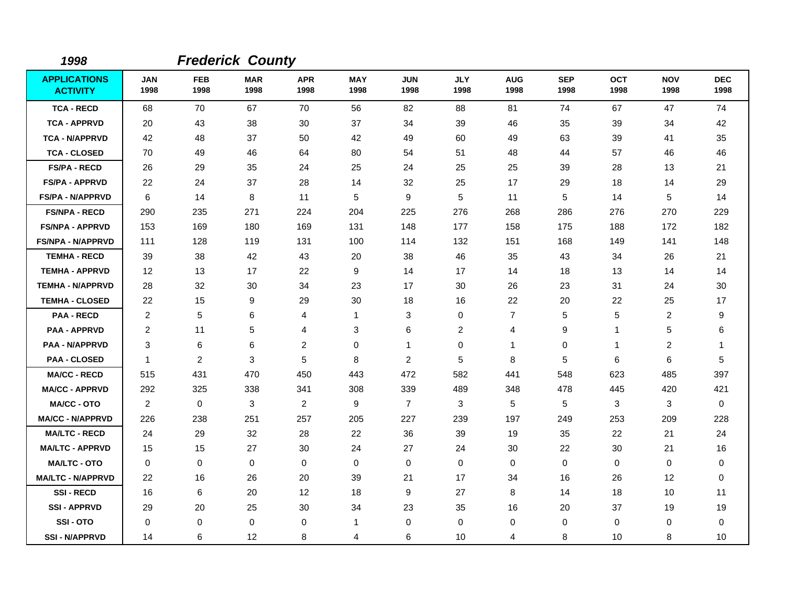| 1998                                   |                    |                    | <b>Frederick County</b> |                    |                    |                    |                    |                    |                    |                    |                    |                    |
|----------------------------------------|--------------------|--------------------|-------------------------|--------------------|--------------------|--------------------|--------------------|--------------------|--------------------|--------------------|--------------------|--------------------|
| <b>APPLICATIONS</b><br><b>ACTIVITY</b> | <b>JAN</b><br>1998 | <b>FEB</b><br>1998 | <b>MAR</b><br>1998      | <b>APR</b><br>1998 | <b>MAY</b><br>1998 | <b>JUN</b><br>1998 | <b>JLY</b><br>1998 | <b>AUG</b><br>1998 | <b>SEP</b><br>1998 | <b>OCT</b><br>1998 | <b>NOV</b><br>1998 | <b>DEC</b><br>1998 |
| <b>TCA - RECD</b>                      | 68                 | 70                 | 67                      | 70                 | 56                 | 82                 | 88                 | 81                 | 74                 | 67                 | 47                 | 74                 |
| <b>TCA - APPRVD</b>                    | 20                 | 43                 | 38                      | 30                 | 37                 | 34                 | 39                 | 46                 | 35                 | 39                 | 34                 | 42                 |
| <b>TCA - N/APPRVD</b>                  | 42                 | 48                 | 37                      | 50                 | 42                 | 49                 | 60                 | 49                 | 63                 | 39                 | 41                 | 35                 |
| <b>TCA - CLOSED</b>                    | 70                 | 49                 | 46                      | 64                 | 80                 | 54                 | 51                 | 48                 | 44                 | 57                 | 46                 | 46                 |
| <b>FS/PA - RECD</b>                    | 26                 | 29                 | 35                      | 24                 | 25                 | 24                 | 25                 | 25                 | 39                 | 28                 | 13                 | 21                 |
| <b>FS/PA - APPRVD</b>                  | 22                 | 24                 | 37                      | 28                 | 14                 | 32                 | 25                 | 17                 | 29                 | 18                 | 14                 | 29                 |
| <b>FS/PA - N/APPRVD</b>                | 6                  | 14                 | 8                       | 11                 | 5                  | 9                  | 5                  | 11                 | 5                  | 14                 | 5                  | 14                 |
| <b>FS/NPA - RECD</b>                   | 290                | 235                | 271                     | 224                | 204                | 225                | 276                | 268                | 286                | 276                | 270                | 229                |
| <b>FS/NPA - APPRVD</b>                 | 153                | 169                | 180                     | 169                | 131                | 148                | 177                | 158                | 175                | 188                | 172                | 182                |
| <b>FS/NPA - N/APPRVD</b>               | 111                | 128                | 119                     | 131                | 100                | 114                | 132                | 151                | 168                | 149                | 141                | 148                |
| <b>TEMHA - RECD</b>                    | 39                 | 38                 | 42                      | 43                 | 20                 | 38                 | 46                 | 35                 | 43                 | 34                 | 26                 | 21                 |
| <b>TEMHA - APPRVD</b>                  | 12                 | 13                 | 17                      | 22                 | 9                  | 14                 | 17                 | 14                 | 18                 | 13                 | 14                 | 14                 |
| <b>TEMHA - N/APPRVD</b>                | 28                 | 32                 | 30                      | 34                 | 23                 | 17                 | 30                 | 26                 | 23                 | 31                 | 24                 | 30                 |
| <b>TEMHA - CLOSED</b>                  | 22                 | 15                 | 9                       | 29                 | 30                 | 18                 | 16                 | 22                 | 20                 | 22                 | 25                 | 17                 |
| <b>PAA - RECD</b>                      | $\overline{2}$     | 5                  | 6                       | $\overline{4}$     | $\mathbf{1}$       | 3                  | 0                  | $\overline{7}$     | 5                  | 5                  | $\overline{2}$     | 9                  |
| <b>PAA - APPRVD</b>                    | 2                  | 11                 | 5                       | $\overline{4}$     | 3                  | 6                  | 2                  | 4                  | 9                  | $\mathbf{1}$       | 5                  | 6                  |
| <b>PAA - N/APPRVD</b>                  | 3                  | 6                  | 6                       | $\overline{c}$     | 0                  | 1                  | 0                  | $\mathbf{1}$       | 0                  | 1                  | $\overline{2}$     | -1                 |
| <b>PAA - CLOSED</b>                    | -1                 | 2                  | 3                       | 5                  | 8                  | 2                  | 5                  | 8                  | 5                  | 6                  | 6                  | 5                  |
| <b>MA/CC - RECD</b>                    | 515                | 431                | 470                     | 450                | 443                | 472                | 582                | 441                | 548                | 623                | 485                | 397                |
| <b>MA/CC - APPRVD</b>                  | 292                | 325                | 338                     | 341                | 308                | 339                | 489                | 348                | 478                | 445                | 420                | 421                |
| <b>MA/CC - OTO</b>                     | $\overline{2}$     | 0                  | 3                       | $\overline{2}$     | 9                  | $\overline{7}$     | 3                  | 5                  | 5                  | 3                  | 3                  | $\mathbf 0$        |
| <b>MA/CC - N/APPRVD</b>                | 226                | 238                | 251                     | 257                | 205                | 227                | 239                | 197                | 249                | 253                | 209                | 228                |
| <b>MA/LTC - RECD</b>                   | 24                 | 29                 | 32                      | 28                 | 22                 | 36                 | 39                 | 19                 | 35                 | 22                 | 21                 | 24                 |
| <b>MA/LTC - APPRVD</b>                 | 15                 | 15                 | 27                      | 30                 | 24                 | 27                 | 24                 | 30                 | 22                 | 30                 | 21                 | 16                 |
| <b>MA/LTC - OTO</b>                    | $\mathbf 0$        | 0                  | $\mathbf 0$             | 0                  | 0                  | $\mathbf 0$        | 0                  | 0                  | $\mathbf 0$        | 0                  | 0                  | 0                  |
| <b>MA/LTC - N/APPRVD</b>               | 22                 | 16                 | 26                      | 20                 | 39                 | 21                 | 17                 | 34                 | 16                 | 26                 | 12                 | 0                  |
| <b>SSI-RECD</b>                        | 16                 | 6                  | 20                      | $12 \overline{ }$  | 18                 | 9                  | 27                 | 8                  | 14                 | 18                 | 10                 | 11                 |
| <b>SSI-APPRVD</b>                      | 29                 | 20                 | 25                      | 30                 | 34                 | 23                 | 35                 | 16                 | 20                 | 37                 | 19                 | 19                 |
| SSI-OTO                                | 0                  | 0                  | 0                       | 0                  | $\mathbf{1}$       | $\mathbf 0$        | 0                  | 0                  | $\mathbf 0$        | 0                  | 0                  | 0                  |
| <b>SSI - N/APPRVD</b>                  | 14                 | 6                  | 12                      | 8                  | 4                  | 6                  | 10                 | 4                  | 8                  | 10                 | 8                  | 10                 |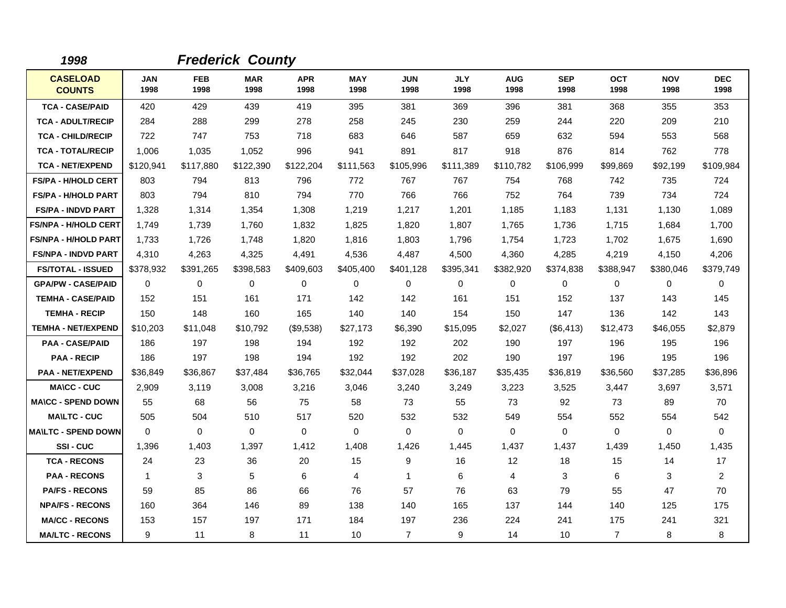| 1998                             |                    |                    | <b>Frederick County</b> |                    |                    |                    |                    |                    |                    |                    |                    |                    |
|----------------------------------|--------------------|--------------------|-------------------------|--------------------|--------------------|--------------------|--------------------|--------------------|--------------------|--------------------|--------------------|--------------------|
| <b>CASELOAD</b><br><b>COUNTS</b> | <b>JAN</b><br>1998 | <b>FEB</b><br>1998 | <b>MAR</b><br>1998      | <b>APR</b><br>1998 | <b>MAY</b><br>1998 | <b>JUN</b><br>1998 | <b>JLY</b><br>1998 | <b>AUG</b><br>1998 | <b>SEP</b><br>1998 | <b>OCT</b><br>1998 | <b>NOV</b><br>1998 | <b>DEC</b><br>1998 |
| <b>TCA - CASE/PAID</b>           | 420                | 429                | 439                     | 419                | 395                | 381                | 369                | 396                | 381                | 368                | 355                | 353                |
| <b>TCA - ADULT/RECIP</b>         | 284                | 288                | 299                     | 278                | 258                | 245                | 230                | 259                | 244                | 220                | 209                | 210                |
| <b>TCA - CHILD/RECIP</b>         | 722                | 747                | 753                     | 718                | 683                | 646                | 587                | 659                | 632                | 594                | 553                | 568                |
| <b>TCA - TOTAL/RECIP</b>         | 1,006              | 1,035              | 1,052                   | 996                | 941                | 891                | 817                | 918                | 876                | 814                | 762                | 778                |
| <b>TCA - NET/EXPEND</b>          | \$120,941          | \$117,880          | \$122,390               | \$122,204          | \$111,563          | \$105,996          | \$111,389          | \$110,782          | \$106,999          | \$99,869           | \$92,199           | \$109,984          |
| <b>FS/PA - H/HOLD CERT</b>       | 803                | 794                | 813                     | 796                | 772                | 767                | 767                | 754                | 768                | 742                | 735                | 724                |
| <b>FS/PA - H/HOLD PART</b>       | 803                | 794                | 810                     | 794                | 770                | 766                | 766                | 752                | 764                | 739                | 734                | 724                |
| <b>FS/PA - INDVD PART</b>        | 1,328              | 1,314              | 1,354                   | 1,308              | 1,219              | 1,217              | 1,201              | 1,185              | 1,183              | 1,131              | 1,130              | 1,089              |
| <b>FS/NPA - H/HOLD CERT</b>      | 1,749              | 1,739              | 1,760                   | 1,832              | 1,825              | 1,820              | 1,807              | 1,765              | 1,736              | 1,715              | 1,684              | 1,700              |
| <b>FS/NPA - H/HOLD PART</b>      | 1,733              | 1,726              | 1,748                   | 1,820              | 1,816              | 1,803              | 1,796              | 1,754              | 1,723              | 1,702              | 1,675              | 1,690              |
| <b>FS/NPA - INDVD PART</b>       | 4,310              | 4,263              | 4,325                   | 4,491              | 4,536              | 4,487              | 4,500              | 4,360              | 4,285              | 4,219              | 4,150              | 4,206              |
| <b>FS/TOTAL - ISSUED</b>         | \$378,932          | \$391,265          | \$398,583               | \$409,603          | \$405,400          | \$401,128          | \$395,341          | \$382,920          | \$374,838          | \$388,947          | \$380,046          | \$379,749          |
| <b>GPA/PW - CASE/PAID</b>        | 0                  | 0                  | 0                       | 0                  | $\mathbf 0$        | 0                  | 0                  | 0                  | 0                  | 0                  | 0                  | 0                  |
| <b>TEMHA - CASE/PAID</b>         | 152                | 151                | 161                     | 171                | 142                | 142                | 161                | 151                | 152                | 137                | 143                | 145                |
| <b>TEMHA - RECIP</b>             | 150                | 148                | 160                     | 165                | 140                | 140                | 154                | 150                | 147                | 136                | 142                | 143                |
| <b>TEMHA - NET/EXPEND</b>        | \$10,203           | \$11,048           | \$10,792                | (\$9,538)          | \$27,173           | \$6,390            | \$15,095           | \$2,027            | (\$6,413)          | \$12,473           | \$46,055           | \$2,879            |
| <b>PAA - CASE/PAID</b>           | 186                | 197                | 198                     | 194                | 192                | 192                | 202                | 190                | 197                | 196                | 195                | 196                |
| <b>PAA - RECIP</b>               | 186                | 197                | 198                     | 194                | 192                | 192                | 202                | 190                | 197                | 196                | 195                | 196                |
| <b>PAA - NET/EXPEND</b>          | \$36,849           | \$36,867           | \$37,484                | \$36,765           | \$32,044           | \$37,028           | \$36,187           | \$35,435           | \$36,819           | \$36,560           | \$37,285           | \$36,896           |
| <b>MA\CC - CUC</b>               | 2,909              | 3,119              | 3,008                   | 3,216              | 3,046              | 3,240              | 3,249              | 3,223              | 3,525              | 3,447              | 3,697              | 3,571              |
| <b>MA\CC - SPEND DOWN</b>        | 55                 | 68                 | 56                      | 75                 | 58                 | 73                 | 55                 | 73                 | 92                 | 73                 | 89                 | 70                 |
| <b>MA\LTC - CUC</b>              | 505                | 504                | 510                     | 517                | 520                | 532                | 532                | 549                | 554                | 552                | 554                | 542                |
| <b>MAILTC - SPEND DOWN</b>       | $\Omega$           | $\Omega$           | $\mathbf 0$             | $\mathbf{0}$       | $\Omega$           | $\Omega$           | $\Omega$           | 0                  | 0                  | $\Omega$           | 0                  | $\Omega$           |
| SSI-CUC                          | 1,396              | 1,403              | 1,397                   | 1,412              | 1,408              | 1,426              | 1,445              | 1,437              | 1,437              | 1,439              | 1,450              | 1,435              |
| <b>TCA - RECONS</b>              | 24                 | 23                 | 36                      | 20                 | 15                 | 9                  | 16                 | 12 <sup>°</sup>    | 18                 | 15                 | 14                 | 17                 |
| <b>PAA - RECONS</b>              | $\mathbf{1}$       | 3                  | 5                       | 6                  | 4                  | 1                  | 6                  | 4                  | 3                  | 6                  | 3                  | $\overline{a}$     |
| <b>PA/FS - RECONS</b>            | 59                 | 85                 | 86                      | 66                 | 76                 | 57                 | 76                 | 63                 | 79                 | 55                 | 47                 | 70                 |
| <b>NPA/FS - RECONS</b>           | 160                | 364                | 146                     | 89                 | 138                | 140                | 165                | 137                | 144                | 140                | 125                | 175                |
| <b>MA/CC - RECONS</b>            | 153                | 157                | 197                     | 171                | 184                | 197                | 236                | 224                | 241                | 175                | 241                | 321                |
| <b>MA/LTC - RECONS</b>           | 9                  | 11                 | 8                       | 11                 | 10                 | $\overline{7}$     | 9                  | 14                 | 10                 | $\overline{7}$     | 8                  | 8                  |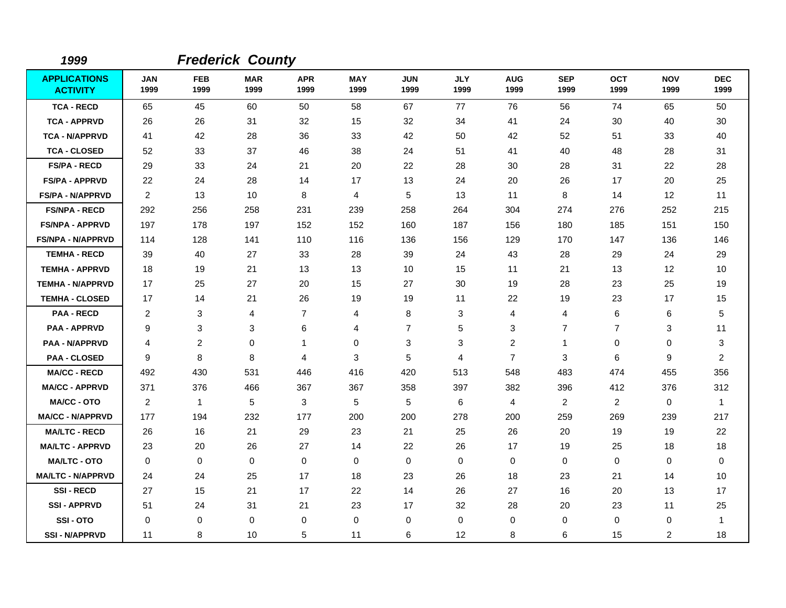| 1999                                   |                    |                    | <b>Frederick County</b> |                    |                    |                    |                    |                         |                    |                    |                    |                    |
|----------------------------------------|--------------------|--------------------|-------------------------|--------------------|--------------------|--------------------|--------------------|-------------------------|--------------------|--------------------|--------------------|--------------------|
| <b>APPLICATIONS</b><br><b>ACTIVITY</b> | <b>JAN</b><br>1999 | <b>FEB</b><br>1999 | <b>MAR</b><br>1999      | <b>APR</b><br>1999 | <b>MAY</b><br>1999 | <b>JUN</b><br>1999 | <b>JLY</b><br>1999 | <b>AUG</b><br>1999      | <b>SEP</b><br>1999 | <b>OCT</b><br>1999 | <b>NOV</b><br>1999 | <b>DEC</b><br>1999 |
| <b>TCA - RECD</b>                      | 65                 | 45                 | 60                      | 50                 | 58                 | 67                 | 77                 | 76                      | 56                 | 74                 | 65                 | 50                 |
| <b>TCA - APPRVD</b>                    | 26                 | 26                 | 31                      | 32                 | 15                 | 32                 | 34                 | 41                      | 24                 | 30                 | 40                 | 30                 |
| <b>TCA - N/APPRVD</b>                  | 41                 | 42                 | 28                      | 36                 | 33                 | 42                 | 50                 | 42                      | 52                 | 51                 | 33                 | 40                 |
| <b>TCA - CLOSED</b>                    | 52                 | 33                 | 37                      | 46                 | 38                 | 24                 | 51                 | 41                      | 40                 | 48                 | 28                 | 31                 |
| <b>FS/PA - RECD</b>                    | 29                 | 33                 | 24                      | 21                 | 20                 | 22                 | 28                 | 30                      | 28                 | 31                 | 22                 | 28                 |
| <b>FS/PA - APPRVD</b>                  | 22                 | 24                 | 28                      | 14                 | 17                 | 13                 | 24                 | 20                      | 26                 | 17                 | 20                 | 25                 |
| <b>FS/PA - N/APPRVD</b>                | 2                  | 13                 | 10                      | 8                  | 4                  | 5                  | 13                 | 11                      | 8                  | 14                 | 12                 | 11                 |
| <b>FS/NPA - RECD</b>                   | 292                | 256                | 258                     | 231                | 239                | 258                | 264                | 304                     | 274                | 276                | 252                | 215                |
| <b>FS/NPA - APPRVD</b>                 | 197                | 178                | 197                     | 152                | 152                | 160                | 187                | 156                     | 180                | 185                | 151                | 150                |
| <b>FS/NPA - N/APPRVD</b>               | 114                | 128                | 141                     | 110                | 116                | 136                | 156                | 129                     | 170                | 147                | 136                | 146                |
| <b>TEMHA - RECD</b>                    | 39                 | 40                 | 27                      | 33                 | 28                 | 39                 | 24                 | 43                      | 28                 | 29                 | 24                 | 29                 |
| <b>TEMHA - APPRVD</b>                  | 18                 | 19                 | 21                      | 13                 | 13                 | 10                 | 15                 | 11                      | 21                 | 13                 | 12                 | 10                 |
| <b>TEMHA - N/APPRVD</b>                | 17                 | 25                 | 27                      | 20                 | 15                 | 27                 | 30                 | 19                      | 28                 | 23                 | 25                 | 19                 |
| <b>TEMHA - CLOSED</b>                  | 17                 | 14                 | 21                      | 26                 | 19                 | 19                 | 11                 | 22                      | 19                 | 23                 | 17                 | 15                 |
| <b>PAA - RECD</b>                      | 2                  | 3                  | 4                       | 7                  | 4                  | 8                  | 3                  | 4                       | 4                  | 6                  | 6                  | $\mathbf 5$        |
| <b>PAA - APPRVD</b>                    | 9                  | 3                  | 3                       | 6                  | $\overline{4}$     | $\overline{7}$     | 5                  | 3                       | $\overline{7}$     | $\overline{7}$     | 3                  | 11                 |
| <b>PAA - N/APPRVD</b>                  | 4                  | $\overline{c}$     | 0                       | 1                  | $\mathbf 0$        | 3                  | 3                  | $\overline{\mathbf{c}}$ | $\mathbf{1}$       | 0                  | 0                  | 3                  |
| <b>PAA - CLOSED</b>                    | 9                  | 8                  | 8                       | 4                  | 3                  | 5                  | $\overline{4}$     | $\overline{7}$          | 3                  | 6                  | 9                  | 2                  |
| <b>MA/CC - RECD</b>                    | 492                | 430                | 531                     | 446                | 416                | 420                | 513                | 548                     | 483                | 474                | 455                | 356                |
| <b>MA/CC - APPRVD</b>                  | 371                | 376                | 466                     | 367                | 367                | 358                | 397                | 382                     | 396                | 412                | 376                | 312                |
| <b>MA/CC - OTO</b>                     | 2                  | $\mathbf{1}$       | 5                       | 3                  | 5                  | 5                  | 6                  | 4                       | $\overline{2}$     | 2                  | 0                  | $\overline{1}$     |
| <b>MA/CC - N/APPRVD</b>                | 177                | 194                | 232                     | 177                | 200                | 200                | 278                | 200                     | 259                | 269                | 239                | 217                |
| <b>MA/LTC - RECD</b>                   | 26                 | 16                 | 21                      | 29                 | 23                 | 21                 | 25                 | 26                      | 20                 | 19                 | 19                 | 22                 |
| <b>MA/LTC - APPRVD</b>                 | 23                 | 20                 | 26                      | 27                 | 14                 | 22                 | 26                 | 17                      | 19                 | 25                 | 18                 | 18                 |
| <b>MA/LTC - OTO</b>                    | 0                  | 0                  | $\mathbf 0$             | 0                  | 0                  | 0                  | 0                  | 0                       | 0                  | 0                  | 0                  | 0                  |
| <b>MA/LTC - N/APPRVD</b>               | 24                 | 24                 | 25                      | 17                 | 18                 | 23                 | 26                 | 18                      | 23                 | 21                 | 14                 | 10                 |
| <b>SSI-RECD</b>                        | 27                 | 15                 | 21                      | 17                 | 22                 | 14                 | 26                 | 27                      | 16                 | 20                 | 13                 | 17                 |
| <b>SSI - APPRVD</b>                    | 51                 | 24                 | 31                      | 21                 | 23                 | 17                 | 32                 | 28                      | 20                 | 23                 | 11                 | 25                 |
| SSI-OTO                                | 0                  | 0                  | $\mathbf 0$             | 0                  | 0                  | 0                  | $\mathbf 0$        | 0                       | 0                  | 0                  | 0                  | $\mathbf 1$        |
| <b>SSI - N/APPRVD</b>                  | 11                 | 8                  | 10                      | 5                  | 11                 | 6                  | 12                 | 8                       | 6                  | 15                 | $\overline{c}$     | 18                 |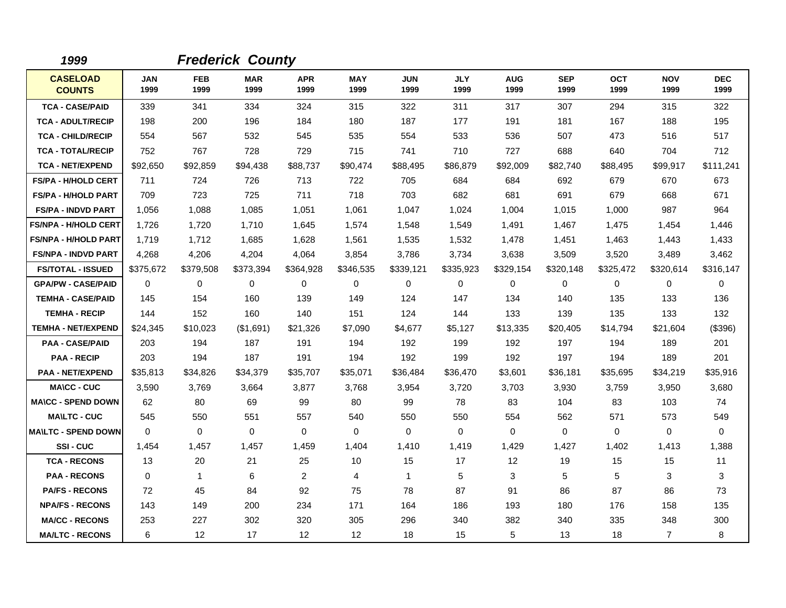| 1999                             |                    |                    | <b>Frederick County</b> |                    |                    |                    |                    |                    |                    |                    |                    |                    |
|----------------------------------|--------------------|--------------------|-------------------------|--------------------|--------------------|--------------------|--------------------|--------------------|--------------------|--------------------|--------------------|--------------------|
| <b>CASELOAD</b><br><b>COUNTS</b> | <b>JAN</b><br>1999 | <b>FEB</b><br>1999 | <b>MAR</b><br>1999      | <b>APR</b><br>1999 | <b>MAY</b><br>1999 | <b>JUN</b><br>1999 | <b>JLY</b><br>1999 | <b>AUG</b><br>1999 | <b>SEP</b><br>1999 | <b>OCT</b><br>1999 | <b>NOV</b><br>1999 | <b>DEC</b><br>1999 |
| <b>TCA - CASE/PAID</b>           | 339                | 341                | 334                     | 324                | 315                | 322                | 311                | 317                | 307                | 294                | 315                | 322                |
| <b>TCA - ADULT/RECIP</b>         | 198                | 200                | 196                     | 184                | 180                | 187                | 177                | 191                | 181                | 167                | 188                | 195                |
| <b>TCA - CHILD/RECIP</b>         | 554                | 567                | 532                     | 545                | 535                | 554                | 533                | 536                | 507                | 473                | 516                | 517                |
| <b>TCA - TOTAL/RECIP</b>         | 752                | 767                | 728                     | 729                | 715                | 741                | 710                | 727                | 688                | 640                | 704                | 712                |
| <b>TCA - NET/EXPEND</b>          | \$92,650           | \$92,859           | \$94,438                | \$88,737           | \$90,474           | \$88,495           | \$86,879           | \$92,009           | \$82,740           | \$88,495           | \$99,917           | \$111,241          |
| <b>FS/PA - H/HOLD CERT</b>       | 711                | 724                | 726                     | 713                | 722                | 705                | 684                | 684                | 692                | 679                | 670                | 673                |
| <b>FS/PA - H/HOLD PART</b>       | 709                | 723                | 725                     | 711                | 718                | 703                | 682                | 681                | 691                | 679                | 668                | 671                |
| <b>FS/PA - INDVD PART</b>        | 1,056              | 1,088              | 1,085                   | 1,051              | 1,061              | 1,047              | 1,024              | 1,004              | 1,015              | 1,000              | 987                | 964                |
| <b>FS/NPA - H/HOLD CERT</b>      | 1,726              | 1,720              | 1,710                   | 1,645              | 1,574              | 1,548              | 1,549              | 1,491              | 1,467              | 1,475              | 1,454              | 1,446              |
| <b>FS/NPA - H/HOLD PART</b>      | 1,719              | 1,712              | 1,685                   | 1,628              | 1,561              | 1,535              | 1,532              | 1,478              | 1,451              | 1,463              | 1,443              | 1,433              |
| <b>FS/NPA - INDVD PART</b>       | 4,268              | 4,206              | 4,204                   | 4,064              | 3,854              | 3,786              | 3,734              | 3,638              | 3,509              | 3,520              | 3,489              | 3,462              |
| <b>FS/TOTAL - ISSUED</b>         | \$375,672          | \$379,508          | \$373,394               | \$364,928          | \$346,535          | \$339,121          | \$335,923          | \$329,154          | \$320,148          | \$325,472          | \$320,614          | \$316,147          |
| <b>GPA/PW - CASE/PAID</b>        | 0                  | 0                  | $\mathbf 0$             | 0                  | $\mathbf 0$        | 0                  | $\mathbf 0$        | 0                  | 0                  | 0                  | 0                  | 0                  |
| <b>TEMHA - CASE/PAID</b>         | 145                | 154                | 160                     | 139                | 149                | 124                | 147                | 134                | 140                | 135                | 133                | 136                |
| <b>TEMHA - RECIP</b>             | 144                | 152                | 160                     | 140                | 151                | 124                | 144                | 133                | 139                | 135                | 133                | 132                |
| <b>TEMHA - NET/EXPEND</b>        | \$24,345           | \$10,023           | (\$1,691)               | \$21,326           | \$7,090            | \$4,677            | \$5,127            | \$13,335           | \$20,405           | \$14,794           | \$21,604           | (\$396)            |
| <b>PAA - CASE/PAID</b>           | 203                | 194                | 187                     | 191                | 194                | 192                | 199                | 192                | 197                | 194                | 189                | 201                |
| <b>PAA - RECIP</b>               | 203                | 194                | 187                     | 191                | 194                | 192                | 199                | 192                | 197                | 194                | 189                | 201                |
| <b>PAA - NET/EXPEND</b>          | \$35,813           | \$34,826           | \$34,379                | \$35,707           | \$35,071           | \$36,484           | \$36,470           | \$3,601            | \$36,181           | \$35,695           | \$34,219           | \$35,916           |
| <b>MA\CC - CUC</b>               | 3,590              | 3,769              | 3,664                   | 3,877              | 3,768              | 3,954              | 3,720              | 3,703              | 3,930              | 3,759              | 3,950              | 3,680              |
| <b>MA\CC - SPEND DOWN</b>        | 62                 | 80                 | 69                      | 99                 | 80                 | 99                 | 78                 | 83                 | 104                | 83                 | 103                | 74                 |
| <b>MA\LTC - CUC</b>              | 545                | 550                | 551                     | 557                | 540                | 550                | 550                | 554                | 562                | 571                | 573                | 549                |
| <b>MA\LTC - SPEND DOWN</b>       | $\Omega$           | $\mathbf 0$        | $\mathbf 0$             | $\mathbf 0$        | $\mathbf 0$        | $\mathbf 0$        | $\mathbf 0$        | 0                  | $\mathbf 0$        | 0                  | 0                  | $\mathbf 0$        |
| SSI-CUC                          | 1,454              | 1,457              | 1,457                   | 1,459              | 1,404              | 1,410              | 1,419              | 1,429              | 1,427              | 1,402              | 1,413              | 1,388              |
| <b>TCA - RECONS</b>              | 13                 | 20                 | 21                      | 25                 | 10                 | 15                 | 17                 | 12                 | 19                 | 15                 | 15                 | 11                 |
| <b>PAA - RECONS</b>              | $\mathbf 0$        | $\mathbf{1}$       | 6                       | $\overline{2}$     | 4                  | $\mathbf{1}$       | 5                  | 3                  | 5                  | 5                  | 3                  | 3                  |
| <b>PA/FS - RECONS</b>            | 72                 | 45                 | 84                      | 92                 | 75                 | 78                 | 87                 | 91                 | 86                 | 87                 | 86                 | 73                 |
| <b>NPA/FS - RECONS</b>           | 143                | 149                | 200                     | 234                | 171                | 164                | 186                | 193                | 180                | 176                | 158                | 135                |
| <b>MA/CC - RECONS</b>            | 253                | 227                | 302                     | 320                | 305                | 296                | 340                | 382                | 340                | 335                | 348                | 300                |
| <b>MA/LTC - RECONS</b>           | 6                  | 12 <sup>2</sup>    | 17                      | $12 \overline{ }$  | $12 \overline{ }$  | 18                 | 15                 | 5                  | 13                 | 18                 | $\overline{7}$     | 8                  |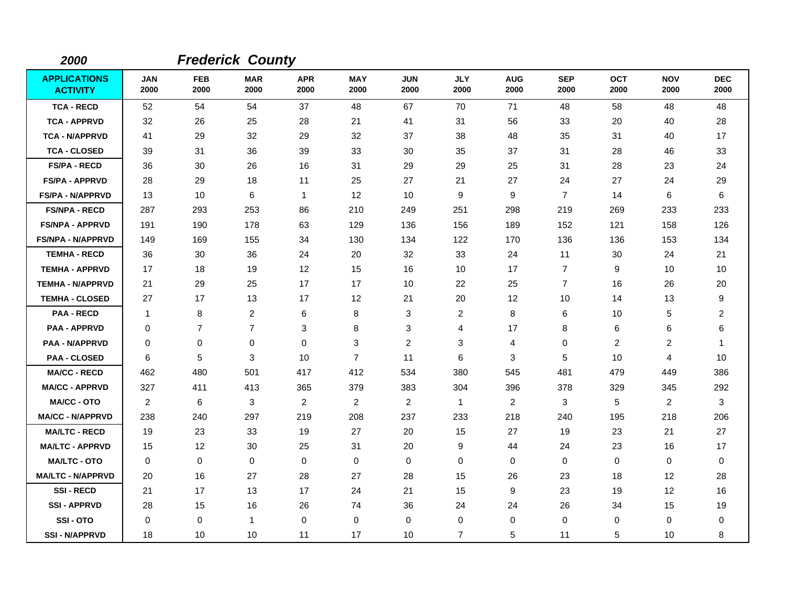| 2000                                   |                    |                    | <b>Frederick County</b> |                    |                    |                    |                    |                    |                    |                    |                    |                         |
|----------------------------------------|--------------------|--------------------|-------------------------|--------------------|--------------------|--------------------|--------------------|--------------------|--------------------|--------------------|--------------------|-------------------------|
| <b>APPLICATIONS</b><br><b>ACTIVITY</b> | <b>JAN</b><br>2000 | <b>FEB</b><br>2000 | <b>MAR</b><br>2000      | <b>APR</b><br>2000 | <b>MAY</b><br>2000 | <b>JUN</b><br>2000 | <b>JLY</b><br>2000 | <b>AUG</b><br>2000 | <b>SEP</b><br>2000 | <b>OCT</b><br>2000 | <b>NOV</b><br>2000 | <b>DEC</b><br>2000      |
| <b>TCA - RECD</b>                      | 52                 | 54                 | 54                      | 37                 | 48                 | 67                 | 70                 | 71                 | 48                 | 58                 | 48                 | 48                      |
| <b>TCA - APPRVD</b>                    | 32                 | 26                 | 25                      | 28                 | 21                 | 41                 | 31                 | 56                 | 33                 | 20                 | 40                 | 28                      |
| <b>TCA - N/APPRVD</b>                  | 41                 | 29                 | 32                      | 29                 | 32                 | 37                 | 38                 | 48                 | 35                 | 31                 | 40                 | 17                      |
| <b>TCA - CLOSED</b>                    | 39                 | 31                 | 36                      | 39                 | 33                 | 30                 | 35                 | 37                 | 31                 | 28                 | 46                 | 33                      |
| <b>FS/PA - RECD</b>                    | 36                 | 30                 | 26                      | 16                 | 31                 | 29                 | 29                 | 25                 | 31                 | 28                 | 23                 | 24                      |
| <b>FS/PA - APPRVD</b>                  | 28                 | 29                 | 18                      | 11                 | 25                 | 27                 | 21                 | 27                 | 24                 | 27                 | 24                 | 29                      |
| <b>FS/PA - N/APPRVD</b>                | 13                 | 10                 | $\,6\,$                 | 1                  | 12                 | 10                 | 9                  | 9                  | $\overline{7}$     | 14                 | 6                  | 6                       |
| <b>FS/NPA - RECD</b>                   | 287                | 293                | 253                     | 86                 | 210                | 249                | 251                | 298                | 219                | 269                | 233                | 233                     |
| <b>FS/NPA - APPRVD</b>                 | 191                | 190                | 178                     | 63                 | 129                | 136                | 156                | 189                | 152                | 121                | 158                | 126                     |
| FS/NPA - N/APPRVD                      | 149                | 169                | 155                     | 34                 | 130                | 134                | 122                | 170                | 136                | 136                | 153                | 134                     |
| <b>TEMHA - RECD</b>                    | 36                 | 30                 | 36                      | 24                 | 20                 | 32                 | 33                 | 24                 | 11                 | 30                 | 24                 | 21                      |
| <b>TEMHA - APPRVD</b>                  | 17                 | 18                 | 19                      | 12                 | 15                 | 16                 | 10                 | 17                 | $\overline{7}$     | 9                  | 10                 | 10                      |
| <b>TEMHA - N/APPRVD</b>                | 21                 | 29                 | 25                      | 17                 | 17                 | 10                 | 22                 | 25                 | $\overline{7}$     | 16                 | 26                 | 20                      |
| <b>TEMHA - CLOSED</b>                  | 27                 | 17                 | 13                      | 17                 | 12                 | 21                 | 20                 | 12                 | 10                 | 14                 | 13                 | 9                       |
| <b>PAA - RECD</b>                      | $\mathbf 1$        | 8                  | $\overline{c}$          | 6                  | 8                  | 3                  | $\overline{c}$     | 8                  | 6                  | 10                 | 5                  | $\overline{\mathbf{c}}$ |
| <b>PAA - APPRVD</b>                    | 0                  | $\overline{7}$     | $\overline{7}$          | 3                  | 8                  | 3                  | $\overline{4}$     | 17                 | 8                  | 6                  | 6                  | 6                       |
| <b>PAA - N/APPRVD</b>                  | 0                  | 0                  | 0                       | $\mathbf 0$        | 3                  | $\overline{2}$     | 3                  | 4                  | 0                  | 2                  | 2                  | $\overline{1}$          |
| <b>PAA - CLOSED</b>                    | 6                  | 5                  | 3                       | 10                 | $\overline{7}$     | 11                 | 6                  | 3                  | 5                  | 10                 | 4                  | 10                      |
| <b>MA/CC - RECD</b>                    | 462                | 480                | 501                     | 417                | 412                | 534                | 380                | 545                | 481                | 479                | 449                | 386                     |
| <b>MA/CC - APPRVD</b>                  | 327                | 411                | 413                     | 365                | 379                | 383                | 304                | 396                | 378                | 329                | 345                | 292                     |
| <b>MA/CC - OTO</b>                     | $\overline{2}$     | 6                  | 3                       | $\overline{2}$     | $\overline{2}$     | $\overline{2}$     | $\mathbf{1}$       | $\overline{c}$     | 3                  | 5                  | $\overline{2}$     | 3                       |
| <b>MA/CC - N/APPRVD</b>                | 238                | 240                | 297                     | 219                | 208                | 237                | 233                | 218                | 240                | 195                | 218                | 206                     |
| <b>MA/LTC - RECD</b>                   | 19                 | 23                 | 33                      | 19                 | 27                 | 20                 | 15                 | 27                 | 19                 | 23                 | 21                 | 27                      |
| <b>MA/LTC - APPRVD</b>                 | 15                 | 12                 | 30                      | 25                 | 31                 | 20                 | 9                  | 44                 | 24                 | 23                 | 16                 | 17                      |
| <b>MA/LTC - OTO</b>                    | 0                  | 0                  | 0                       | 0                  | 0                  | 0                  | 0                  | 0                  | $\mathbf 0$        | 0                  | 0                  | 0                       |
| <b>MA/LTC - N/APPRVD</b>               | 20                 | 16                 | 27                      | 28                 | 27                 | 28                 | 15                 | 26                 | 23                 | 18                 | 12                 | 28                      |
| <b>SSI-RECD</b>                        | 21                 | 17                 | 13                      | 17                 | 24                 | 21                 | 15                 | 9                  | 23                 | 19                 | 12                 | 16                      |
| <b>SSI-APPRVD</b>                      | 28                 | 15                 | 16                      | 26                 | 74                 | 36                 | 24                 | 24                 | 26                 | 34                 | 15                 | 19                      |
| SSI-OTO                                | 0                  | 0                  | $\overline{1}$          | $\mathbf 0$        | 0                  | 0                  | $\mathbf 0$        | 0                  | $\mathbf 0$        | 0                  | 0                  | 0                       |
| <b>SSI-N/APPRVD</b>                    | 18                 | 10                 | 10                      | 11                 | 17                 | 10                 | $\overline{7}$     | 5                  | 11                 | 5                  | 10                 | 8                       |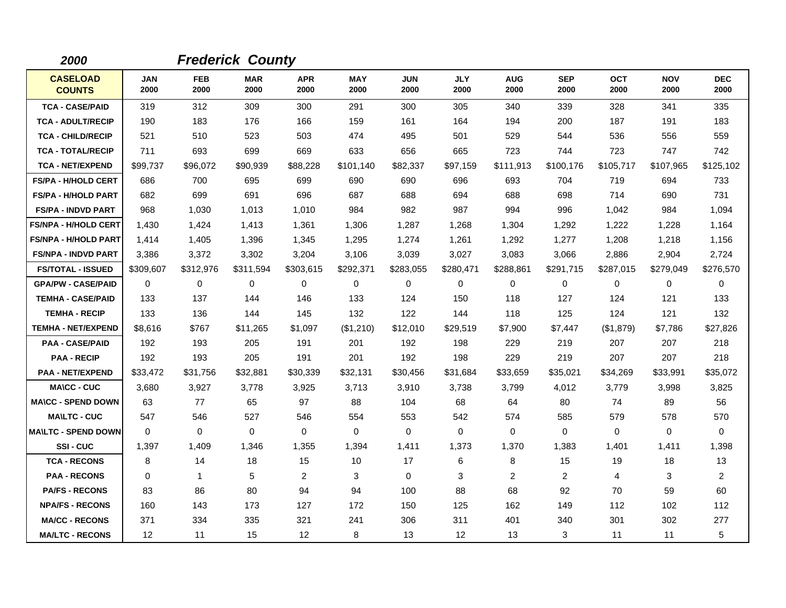| 2000                             |                    |                    | <b>Frederick County</b> |                    |                    |                    |                    |                    |                    |                    |                    |                    |
|----------------------------------|--------------------|--------------------|-------------------------|--------------------|--------------------|--------------------|--------------------|--------------------|--------------------|--------------------|--------------------|--------------------|
| <b>CASELOAD</b><br><b>COUNTS</b> | <b>JAN</b><br>2000 | <b>FEB</b><br>2000 | <b>MAR</b><br>2000      | <b>APR</b><br>2000 | <b>MAY</b><br>2000 | <b>JUN</b><br>2000 | <b>JLY</b><br>2000 | <b>AUG</b><br>2000 | <b>SEP</b><br>2000 | <b>OCT</b><br>2000 | <b>NOV</b><br>2000 | <b>DEC</b><br>2000 |
| <b>TCA - CASE/PAID</b>           | 319                | 312                | 309                     | 300                | 291                | 300                | 305                | 340                | 339                | 328                | 341                | 335                |
| <b>TCA - ADULT/RECIP</b>         | 190                | 183                | 176                     | 166                | 159                | 161                | 164                | 194                | 200                | 187                | 191                | 183                |
| <b>TCA - CHILD/RECIP</b>         | 521                | 510                | 523                     | 503                | 474                | 495                | 501                | 529                | 544                | 536                | 556                | 559                |
| <b>TCA - TOTAL/RECIP</b>         | 711                | 693                | 699                     | 669                | 633                | 656                | 665                | 723                | 744                | 723                | 747                | 742                |
| <b>TCA - NET/EXPEND</b>          | \$99.737           | \$96,072           | \$90,939                | \$88,228           | \$101,140          | \$82,337           | \$97,159           | \$111,913          | \$100,176          | \$105.717          | \$107,965          | \$125,102          |
| <b>FS/PA - H/HOLD CERT</b>       | 686                | 700                | 695                     | 699                | 690                | 690                | 696                | 693                | 704                | 719                | 694                | 733                |
| <b>FS/PA - H/HOLD PART</b>       | 682                | 699                | 691                     | 696                | 687                | 688                | 694                | 688                | 698                | 714                | 690                | 731                |
| <b>FS/PA - INDVD PART</b>        | 968                | 1,030              | 1,013                   | 1,010              | 984                | 982                | 987                | 994                | 996                | 1,042              | 984                | 1,094              |
| <b>FS/NPA - H/HOLD CERT</b>      | 1,430              | 1,424              | 1,413                   | 1,361              | 1,306              | 1,287              | 1,268              | 1,304              | 1,292              | 1,222              | 1,228              | 1,164              |
| <b>FS/NPA - H/HOLD PART</b>      | 1,414              | 1,405              | 1,396                   | 1,345              | 1,295              | 1,274              | 1,261              | 1,292              | 1,277              | 1,208              | 1,218              | 1,156              |
| <b>FS/NPA - INDVD PART</b>       | 3,386              | 3,372              | 3,302                   | 3,204              | 3,106              | 3,039              | 3,027              | 3,083              | 3,066              | 2,886              | 2,904              | 2,724              |
| <b>FS/TOTAL - ISSUED</b>         | \$309,607          | \$312,976          | \$311,594               | \$303,615          | \$292,371          | \$283,055          | \$280,471          | \$288,861          | \$291,715          | \$287,015          | \$279,049          | \$276,570          |
| <b>GPA/PW - CASE/PAID</b>        | 0                  | 0                  | $\mathbf 0$             | 0                  | $\mathbf 0$        | $\mathbf 0$        | $\mathbf 0$        | 0                  | $\mathbf 0$        | 0                  | $\mathbf 0$        | 0                  |
| <b>TEMHA - CASE/PAID</b>         | 133                | 137                | 144                     | 146                | 133                | 124                | 150                | 118                | 127                | 124                | 121                | 133                |
| <b>TEMHA - RECIP</b>             | 133                | 136                | 144                     | 145                | 132                | 122                | 144                | 118                | 125                | 124                | 121                | 132                |
| <b>TEMHA - NET/EXPEND</b>        | \$8,616            | \$767              | \$11,265                | \$1,097            | (\$1,210)          | \$12,010           | \$29,519           | \$7,900            | \$7,447            | (\$1,879)          | \$7,786            | \$27,826           |
| <b>PAA - CASE/PAID</b>           | 192                | 193                | 205                     | 191                | 201                | 192                | 198                | 229                | 219                | 207                | 207                | 218                |
| <b>PAA - RECIP</b>               | 192                | 193                | 205                     | 191                | 201                | 192                | 198                | 229                | 219                | 207                | 207                | 218                |
| <b>PAA - NET/EXPEND</b>          | \$33,472           | \$31,756           | \$32,881                | \$30,339           | \$32,131           | \$30,456           | \$31,684           | \$33,659           | \$35,021           | \$34,269           | \$33,991           | \$35,072           |
| <b>MA\CC - CUC</b>               | 3,680              | 3,927              | 3,778                   | 3,925              | 3,713              | 3,910              | 3,738              | 3,799              | 4,012              | 3,779              | 3,998              | 3,825              |
| <b>MA\CC - SPEND DOWN</b>        | 63                 | 77                 | 65                      | 97                 | 88                 | 104                | 68                 | 64                 | 80                 | 74                 | 89                 | 56                 |
| <b>MA\LTC - CUC</b>              | 547                | 546                | 527                     | 546                | 554                | 553                | 542                | 574                | 585                | 579                | 578                | 570                |
| <b>MAILTC - SPEND DOWN</b>       | $\Omega$           | $\Omega$           | $\mathbf 0$             | 0                  | 0                  | 0                  | $\Omega$           | 0                  | 0                  | 0                  | 0                  | 0                  |
| SSI-CUC                          | 1,397              | 1,409              | 1,346                   | 1,355              | 1,394              | 1,411              | 1,373              | 1,370              | 1,383              | 1,401              | 1,411              | 1,398              |
| <b>TCA - RECONS</b>              | 8                  | 14                 | 18                      | 15                 | 10                 | 17                 | 6                  | 8                  | 15                 | 19                 | 18                 | 13                 |
| <b>PAA - RECONS</b>              | $\Omega$           | $\mathbf{1}$       | 5                       | $\overline{2}$     | 3                  | $\Omega$           | 3                  | 2                  | 2                  | 4                  | 3                  | $\overline{a}$     |
| <b>PA/FS - RECONS</b>            | 83                 | 86                 | 80                      | 94                 | 94                 | 100                | 88                 | 68                 | 92                 | 70                 | 59                 | 60                 |
| <b>NPA/FS - RECONS</b>           | 160                | 143                | 173                     | 127                | 172                | 150                | 125                | 162                | 149                | 112                | 102                | 112                |
| <b>MA/CC - RECONS</b>            | 371                | 334                | 335                     | 321                | 241                | 306                | 311                | 401                | 340                | 301                | 302                | 277                |
| <b>MA/LTC - RECONS</b>           | 12                 | 11                 | 15                      | 12                 | 8                  | 13                 | $12 \overline{ }$  | 13                 | 3                  | 11                 | 11                 | 5                  |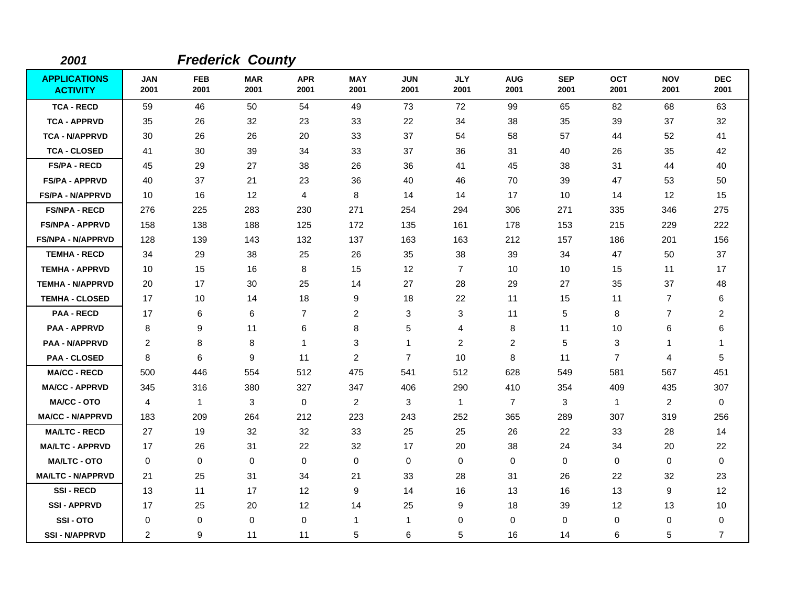| 2001                                   |                    |                    | <b>Frederick County</b> |                    |                    |                    |                    |                    |                    |                    |                    |                         |
|----------------------------------------|--------------------|--------------------|-------------------------|--------------------|--------------------|--------------------|--------------------|--------------------|--------------------|--------------------|--------------------|-------------------------|
| <b>APPLICATIONS</b><br><b>ACTIVITY</b> | <b>JAN</b><br>2001 | <b>FEB</b><br>2001 | <b>MAR</b><br>2001      | <b>APR</b><br>2001 | <b>MAY</b><br>2001 | <b>JUN</b><br>2001 | <b>JLY</b><br>2001 | <b>AUG</b><br>2001 | <b>SEP</b><br>2001 | <b>OCT</b><br>2001 | <b>NOV</b><br>2001 | <b>DEC</b><br>2001      |
| <b>TCA - RECD</b>                      | 59                 | 46                 | 50                      | 54                 | 49                 | 73                 | 72                 | 99                 | 65                 | 82                 | 68                 | 63                      |
| <b>TCA - APPRVD</b>                    | 35                 | 26                 | 32                      | 23                 | 33                 | 22                 | 34                 | 38                 | 35                 | 39                 | 37                 | 32                      |
| <b>TCA - N/APPRVD</b>                  | 30                 | 26                 | 26                      | 20                 | 33                 | 37                 | 54                 | 58                 | 57                 | 44                 | 52                 | 41                      |
| <b>TCA - CLOSED</b>                    | 41                 | 30                 | 39                      | 34                 | 33                 | 37                 | 36                 | 31                 | 40                 | 26                 | 35                 | 42                      |
| <b>FS/PA - RECD</b>                    | 45                 | 29                 | 27                      | 38                 | 26                 | 36                 | 41                 | 45                 | 38                 | 31                 | 44                 | 40                      |
| <b>FS/PA - APPRVD</b>                  | 40                 | 37                 | 21                      | 23                 | 36                 | 40                 | 46                 | 70                 | 39                 | 47                 | 53                 | 50                      |
| <b>FS/PA - N/APPRVD</b>                | 10                 | 16                 | 12                      | 4                  | 8                  | 14                 | 14                 | 17                 | 10                 | 14                 | 12                 | 15                      |
| <b>FS/NPA - RECD</b>                   | 276                | 225                | 283                     | 230                | 271                | 254                | 294                | 306                | 271                | 335                | 346                | 275                     |
| <b>FS/NPA - APPRVD</b>                 | 158                | 138                | 188                     | 125                | 172                | 135                | 161                | 178                | 153                | 215                | 229                | 222                     |
| <b>FS/NPA - N/APPRVD</b>               | 128                | 139                | 143                     | 132                | 137                | 163                | 163                | 212                | 157                | 186                | 201                | 156                     |
| <b>TEMHA - RECD</b>                    | 34                 | 29                 | 38                      | 25                 | 26                 | 35                 | 38                 | 39                 | 34                 | 47                 | 50                 | 37                      |
| <b>TEMHA - APPRVD</b>                  | 10                 | 15                 | 16                      | 8                  | 15                 | 12                 | $\overline{7}$     | 10                 | 10                 | 15                 | 11                 | 17                      |
| <b>TEMHA - N/APPRVD</b>                | 20                 | 17                 | 30                      | 25                 | 14                 | 27                 | 28                 | 29                 | 27                 | 35                 | 37                 | 48                      |
| <b>TEMHA - CLOSED</b>                  | 17                 | 10                 | 14                      | 18                 | 9                  | 18                 | 22                 | 11                 | 15                 | 11                 | $\overline{7}$     | 6                       |
| <b>PAA - RECD</b>                      | 17                 | 6                  | 6                       | $\overline{7}$     | $\overline{2}$     | 3                  | 3                  | 11                 | 5                  | 8                  | 7                  | $\overline{\mathbf{c}}$ |
| <b>PAA - APPRVD</b>                    | 8                  | 9                  | 11                      | 6                  | 8                  | 5                  | 4                  | 8                  | 11                 | 10                 | 6                  | 6                       |
| <b>PAA - N/APPRVD</b>                  | 2                  | 8                  | 8                       | 1                  | 3                  | 1                  | 2                  | $\overline{2}$     | 5                  | 3                  | 1                  | -1                      |
| <b>PAA - CLOSED</b>                    | 8                  | 6                  | 9                       | 11                 | $\overline{2}$     | $\overline{7}$     | 10                 | 8                  | 11                 | $\overline{7}$     | 4                  | 5                       |
| <b>MA/CC - RECD</b>                    | 500                | 446                | 554                     | 512                | 475                | 541                | 512                | 628                | 549                | 581                | 567                | 451                     |
| <b>MA/CC - APPRVD</b>                  | 345                | 316                | 380                     | 327                | 347                | 406                | 290                | 410                | 354                | 409                | 435                | 307                     |
| <b>MA/CC - OTO</b>                     | 4                  | $\mathbf{1}$       | 3                       | $\mathbf 0$        | $\overline{2}$     | 3                  | $\mathbf{1}$       | $\overline{7}$     | 3                  | $\mathbf{1}$       | $\overline{2}$     | $\Omega$                |
| <b>MA/CC - N/APPRVD</b>                | 183                | 209                | 264                     | 212                | 223                | 243                | 252                | 365                | 289                | 307                | 319                | 256                     |
| <b>MA/LTC - RECD</b>                   | 27                 | 19                 | 32                      | 32                 | 33                 | 25                 | 25                 | 26                 | 22                 | 33                 | 28                 | 14                      |
| <b>MA/LTC - APPRVD</b>                 | 17                 | 26                 | 31                      | 22                 | 32                 | 17                 | 20                 | 38                 | 24                 | 34                 | 20                 | 22                      |
| <b>MA/LTC - OTO</b>                    | $\mathbf 0$        | 0                  | 0                       | 0                  | 0                  | 0                  | 0                  | 0                  | $\mathbf 0$        | 0                  | 0                  | 0                       |
| <b>MA/LTC - N/APPRVD</b>               | 21                 | 25                 | 31                      | 34                 | 21                 | 33                 | 28                 | 31                 | 26                 | 22                 | 32                 | 23                      |
| <b>SSI-RECD</b>                        | 13                 | 11                 | 17                      | 12                 | 9                  | 14                 | 16                 | 13                 | 16                 | 13                 | 9                  | 12                      |
| <b>SSI - APPRVD</b>                    | 17                 | 25                 | 20                      | 12                 | 14                 | 25                 | 9                  | 18                 | 39                 | $12 \,$            | 13                 | 10                      |
| SSI-OTO                                | 0                  | 0                  | $\mathbf 0$             | 0                  | $\mathbf{1}$       | 1                  | 0                  | 0                  | $\Omega$           | 0                  | 0                  | 0                       |
| <b>SSI-N/APPRVD</b>                    | $\overline{2}$     | 9                  | 11                      | 11                 | 5                  | 6                  | 5                  | 16                 | 14                 | 6                  | 5                  | $\overline{7}$          |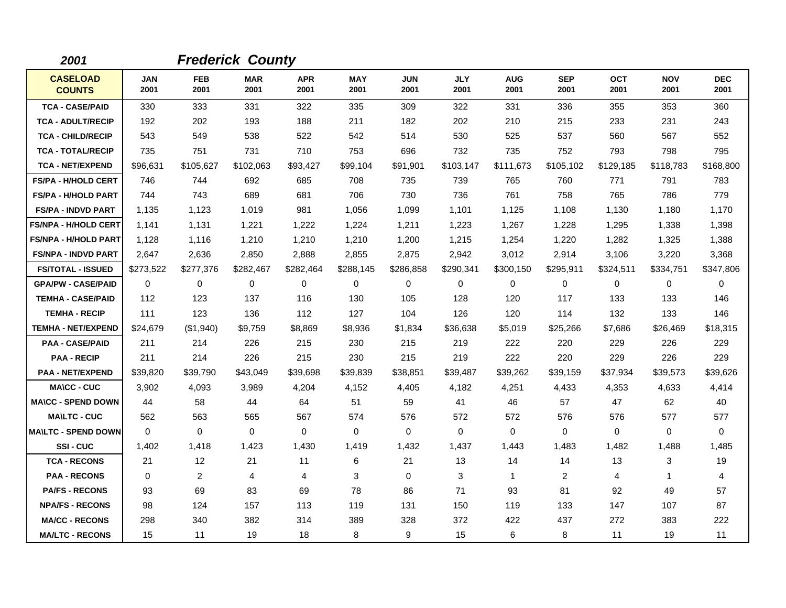| 2001                             |                    |                    | <b>Frederick County</b> |                    |                    |                    |                    |                    |                    |                    |                    |                    |
|----------------------------------|--------------------|--------------------|-------------------------|--------------------|--------------------|--------------------|--------------------|--------------------|--------------------|--------------------|--------------------|--------------------|
| <b>CASELOAD</b><br><b>COUNTS</b> | <b>JAN</b><br>2001 | <b>FEB</b><br>2001 | <b>MAR</b><br>2001      | <b>APR</b><br>2001 | <b>MAY</b><br>2001 | <b>JUN</b><br>2001 | <b>JLY</b><br>2001 | <b>AUG</b><br>2001 | <b>SEP</b><br>2001 | <b>OCT</b><br>2001 | <b>NOV</b><br>2001 | <b>DEC</b><br>2001 |
| <b>TCA - CASE/PAID</b>           | 330                | 333                | 331                     | 322                | 335                | 309                | 322                | 331                | 336                | 355                | 353                | 360                |
| <b>TCA - ADULT/RECIP</b>         | 192                | 202                | 193                     | 188                | 211                | 182                | 202                | 210                | 215                | 233                | 231                | 243                |
| <b>TCA - CHILD/RECIP</b>         | 543                | 549                | 538                     | 522                | 542                | 514                | 530                | 525                | 537                | 560                | 567                | 552                |
| <b>TCA - TOTAL/RECIP</b>         | 735                | 751                | 731                     | 710                | 753                | 696                | 732                | 735                | 752                | 793                | 798                | 795                |
| <b>TCA - NET/EXPEND</b>          | \$96,631           | \$105,627          | \$102,063               | \$93,427           | \$99,104           | \$91,901           | \$103,147          | \$111,673          | \$105,102          | \$129,185          | \$118,783          | \$168,800          |
| <b>FS/PA - H/HOLD CERT</b>       | 746                | 744                | 692                     | 685                | 708                | 735                | 739                | 765                | 760                | 771                | 791                | 783                |
| <b>FS/PA - H/HOLD PART</b>       | 744                | 743                | 689                     | 681                | 706                | 730                | 736                | 761                | 758                | 765                | 786                | 779                |
| <b>FS/PA - INDVD PART</b>        | 1,135              | 1,123              | 1,019                   | 981                | 1,056              | 1,099              | 1,101              | 1,125              | 1,108              | 1,130              | 1,180              | 1,170              |
| <b>FS/NPA - H/HOLD CERT</b>      | 1,141              | 1,131              | 1,221                   | 1,222              | 1,224              | 1,211              | 1,223              | 1,267              | 1,228              | 1,295              | 1,338              | 1,398              |
| <b>FS/NPA - H/HOLD PART</b>      | 1,128              | 1.116              | 1,210                   | 1,210              | 1,210              | 1,200              | 1,215              | 1,254              | 1,220              | 1,282              | 1,325              | 1,388              |
| <b>FS/NPA - INDVD PART</b>       | 2,647              | 2,636              | 2,850                   | 2,888              | 2,855              | 2,875              | 2,942              | 3,012              | 2,914              | 3,106              | 3,220              | 3,368              |
| <b>FS/TOTAL - ISSUED</b>         | \$273,522          | \$277,376          | \$282,467               | \$282,464          | \$288,145          | \$286,858          | \$290,341          | \$300,150          | \$295,911          | \$324,511          | \$334,751          | \$347,806          |
| <b>GPA/PW - CASE/PAID</b>        | 0                  | 0                  | 0                       | 0                  | $\mathbf 0$        | 0                  | 0                  | 0                  | 0                  | 0                  | 0                  | 0                  |
| <b>TEMHA - CASE/PAID</b>         | 112                | 123                | 137                     | 116                | 130                | 105                | 128                | 120                | 117                | 133                | 133                | 146                |
| <b>TEMHA - RECIP</b>             | 111                | 123                | 136                     | 112                | 127                | 104                | 126                | 120                | 114                | 132                | 133                | 146                |
| <b>TEMHA - NET/EXPEND</b>        | \$24,679           | (\$1,940)          | \$9,759                 | \$8,869            | \$8,936            | \$1,834            | \$36,638           | \$5,019            | \$25,266           | \$7,686            | \$26,469           | \$18,315           |
| <b>PAA - CASE/PAID</b>           | 211                | 214                | 226                     | 215                | 230                | 215                | 219                | 222                | 220                | 229                | 226                | 229                |
| <b>PAA - RECIP</b>               | 211                | 214                | 226                     | 215                | 230                | 215                | 219                | 222                | 220                | 229                | 226                | 229                |
| <b>PAA - NET/EXPEND</b>          | \$39,820           | \$39,790           | \$43,049                | \$39,698           | \$39,839           | \$38,851           | \$39,487           | \$39,262           | \$39,159           | \$37,934           | \$39,573           | \$39,626           |
| <b>MA\CC - CUC</b>               | 3,902              | 4,093              | 3,989                   | 4,204              | 4,152              | 4,405              | 4,182              | 4,251              | 4,433              | 4,353              | 4,633              | 4,414              |
| <b>MA\CC - SPEND DOWN</b>        | 44                 | 58                 | 44                      | 64                 | 51                 | 59                 | 41                 | 46                 | 57                 | 47                 | 62                 | 40                 |
| <b>MAILTC - CUC</b>              | 562                | 563                | 565                     | 567                | 574                | 576                | 572                | 572                | 576                | 576                | 577                | 577                |
| <b>MA\LTC - SPEND DOWN</b>       | $\mathbf{0}$       | $\Omega$           | $\mathbf 0$             | $\mathbf 0$        | $\mathbf 0$        | $\mathbf 0$        | $\Omega$           | $\mathbf 0$        | $\mathbf 0$        | $\Omega$           | $\mathbf 0$        | 0                  |
| SSI-CUC                          | 1,402              | 1,418              | 1,423                   | 1,430              | 1,419              | 1,432              | 1,437              | 1,443              | 1,483              | 1,482              | 1,488              | 1,485              |
| <b>TCA - RECONS</b>              | 21                 | 12                 | 21                      | 11                 | 6                  | 21                 | 13                 | 14                 | 14                 | 13                 | 3                  | 19                 |
| <b>PAA - RECONS</b>              | $\Omega$           | 2                  | $\overline{4}$          | 4                  | 3                  | $\Omega$           | 3                  | 1                  | 2                  | 4                  | 1                  | 4                  |
| <b>PA/FS - RECONS</b>            | 93                 | 69                 | 83                      | 69                 | 78                 | 86                 | 71                 | 93                 | 81                 | 92                 | 49                 | 57                 |
| <b>NPA/FS - RECONS</b>           | 98                 | 124                | 157                     | 113                | 119                | 131                | 150                | 119                | 133                | 147                | 107                | 87                 |
| <b>MA/CC - RECONS</b>            | 298                | 340                | 382                     | 314                | 389                | 328                | 372                | 422                | 437                | 272                | 383                | 222                |
| <b>MA/LTC - RECONS</b>           | 15                 | 11                 | 19                      | 18                 | 8                  | 9                  | 15                 | 6                  | 8                  | 11                 | 19                 | 11                 |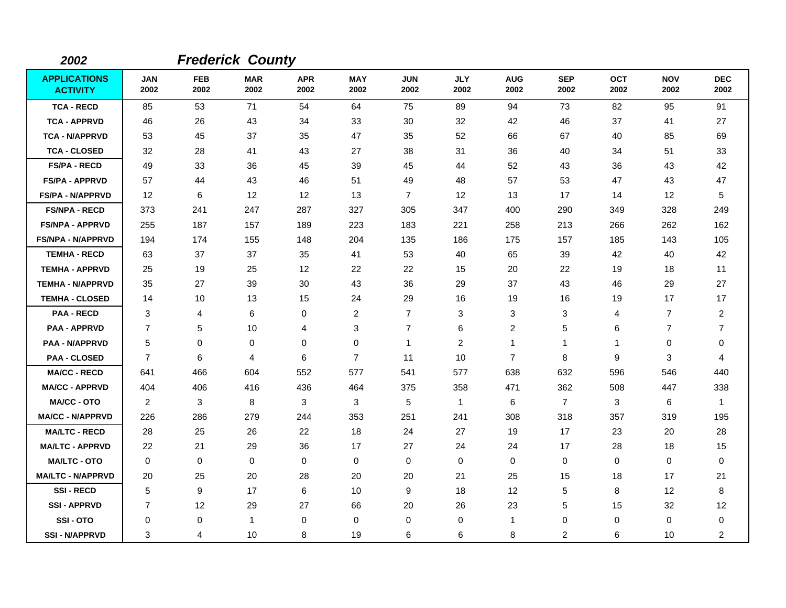| 2002                                   |                    |                    | <b>Frederick County</b> |                    |                    |                    |                    |                    |                    |                    |                    |                    |
|----------------------------------------|--------------------|--------------------|-------------------------|--------------------|--------------------|--------------------|--------------------|--------------------|--------------------|--------------------|--------------------|--------------------|
| <b>APPLICATIONS</b><br><b>ACTIVITY</b> | <b>JAN</b><br>2002 | <b>FEB</b><br>2002 | <b>MAR</b><br>2002      | <b>APR</b><br>2002 | <b>MAY</b><br>2002 | <b>JUN</b><br>2002 | <b>JLY</b><br>2002 | <b>AUG</b><br>2002 | <b>SEP</b><br>2002 | <b>OCT</b><br>2002 | <b>NOV</b><br>2002 | <b>DEC</b><br>2002 |
| <b>TCA - RECD</b>                      | 85                 | 53                 | 71                      | 54                 | 64                 | 75                 | 89                 | 94                 | 73                 | 82                 | 95                 | 91                 |
| <b>TCA - APPRVD</b>                    | 46                 | 26                 | 43                      | 34                 | 33                 | 30                 | 32                 | 42                 | 46                 | 37                 | 41                 | 27                 |
| <b>TCA - N/APPRVD</b>                  | 53                 | 45                 | 37                      | 35                 | 47                 | 35                 | 52                 | 66                 | 67                 | 40                 | 85                 | 69                 |
| <b>TCA - CLOSED</b>                    | 32                 | 28                 | 41                      | 43                 | 27                 | 38                 | 31                 | 36                 | 40                 | 34                 | 51                 | 33                 |
| <b>FS/PA - RECD</b>                    | 49                 | 33                 | 36                      | 45                 | 39                 | 45                 | 44                 | 52                 | 43                 | 36                 | 43                 | 42                 |
| <b>FS/PA - APPRVD</b>                  | 57                 | 44                 | 43                      | 46                 | 51                 | 49                 | 48                 | 57                 | 53                 | 47                 | 43                 | 47                 |
| <b>FS/PA - N/APPRVD</b>                | $12 \overline{ }$  | 6                  | 12                      | 12                 | 13                 | $\overline{7}$     | $12 \overline{ }$  | 13                 | 17                 | 14                 | 12                 | 5                  |
| <b>FS/NPA - RECD</b>                   | 373                | 241                | 247                     | 287                | 327                | 305                | 347                | 400                | 290                | 349                | 328                | 249                |
| <b>FS/NPA - APPRVD</b>                 | 255                | 187                | 157                     | 189                | 223                | 183                | 221                | 258                | 213                | 266                | 262                | 162                |
| <b>FS/NPA - N/APPRVD</b>               | 194                | 174                | 155                     | 148                | 204                | 135                | 186                | 175                | 157                | 185                | 143                | 105                |
| <b>TEMHA - RECD</b>                    | 63                 | 37                 | 37                      | 35                 | 41                 | 53                 | 40                 | 65                 | 39                 | 42                 | 40                 | 42                 |
| <b>TEMHA - APPRVD</b>                  | 25                 | 19                 | 25                      | 12                 | 22                 | 22                 | 15                 | 20                 | 22                 | 19                 | 18                 | 11                 |
| <b>TEMHA - N/APPRVD</b>                | 35                 | 27                 | 39                      | 30                 | 43                 | 36                 | 29                 | 37                 | 43                 | 46                 | 29                 | 27                 |
| <b>TEMHA - CLOSED</b>                  | 14                 | 10                 | 13                      | 15                 | 24                 | 29                 | 16                 | 19                 | 16                 | 19                 | 17                 | 17                 |
| <b>PAA - RECD</b>                      | 3                  | 4                  | 6                       | 0                  | $\overline{2}$     | $\overline{7}$     | 3                  | 3                  | 3                  | 4                  | $\overline{7}$     | $\overline{c}$     |
| <b>PAA - APPRVD</b>                    | $\overline{7}$     | 5                  | 10                      | 4                  | $\sqrt{3}$         | 7                  | $\,6$              | $\overline{c}$     | 5                  | 6                  | $\overline{7}$     | $\overline{7}$     |
| <b>PAA - N/APPRVD</b>                  | 5                  | 0                  | 0                       | 0                  | $\mathbf 0$        | 1                  | 2                  | $\mathbf{1}$       | $\mathbf 1$        | $\mathbf 1$        | 0                  | 0                  |
| <b>PAA - CLOSED</b>                    | $\overline{7}$     | 6                  | 4                       | 6                  | $\overline{7}$     | 11                 | 10                 | $\overline{7}$     | 8                  | 9                  | 3                  | 4                  |
| <b>MA/CC - RECD</b>                    | 641                | 466                | 604                     | 552                | 577                | 541                | 577                | 638                | 632                | 596                | 546                | 440                |
| <b>MA/CC - APPRVD</b>                  | 404                | 406                | 416                     | 436                | 464                | 375                | 358                | 471                | 362                | 508                | 447                | 338                |
| <b>MA/CC - OTO</b>                     | 2                  | 3                  | 8                       | 3                  | 3                  | 5                  | $\mathbf{1}$       | 6                  | $\overline{7}$     | 3                  | 6                  | $\overline{1}$     |
| <b>MA/CC - N/APPRVD</b>                | 226                | 286                | 279                     | 244                | 353                | 251                | 241                | 308                | 318                | 357                | 319                | 195                |
| <b>MA/LTC - RECD</b>                   | 28                 | 25                 | 26                      | 22                 | 18                 | 24                 | 27                 | 19                 | 17                 | 23                 | 20                 | 28                 |
| <b>MA/LTC - APPRVD</b>                 | 22                 | 21                 | 29                      | 36                 | 17                 | 27                 | 24                 | 24                 | 17                 | 28                 | 18                 | 15                 |
| <b>MA/LTC - OTO</b>                    | $\mathbf 0$        | 0                  | 0                       | 0                  | 0                  | 0                  | 0                  | 0                  | $\mathbf 0$        | 0                  | 0                  | 0                  |
| <b>MA/LTC - N/APPRVD</b>               | 20                 | 25                 | 20                      | 28                 | 20                 | 20                 | 21                 | 25                 | 15                 | 18                 | 17                 | 21                 |
| <b>SSI-RECD</b>                        | 5                  | 9                  | 17                      | 6                  | 10                 | 9                  | 18                 | 12                 | 5                  | 8                  | 12                 | 8                  |
| <b>SSI-APPRVD</b>                      | 7                  | 12                 | 29                      | 27                 | 66                 | 20                 | 26                 | 23                 | 5                  | 15                 | 32                 | 12                 |
| SSI-OTO                                | $\Omega$           | 0                  | $\mathbf{1}$            | 0                  | $\mathbf 0$        | 0                  | 0                  | $\mathbf{1}$       | 0                  | 0                  | 0                  | 0                  |
| <b>SSI-N/APPRVD</b>                    | 3                  | 4                  | 10                      | 8                  | 19                 | 6                  | 6                  | 8                  | 2                  | 6                  | 10                 | $\overline{c}$     |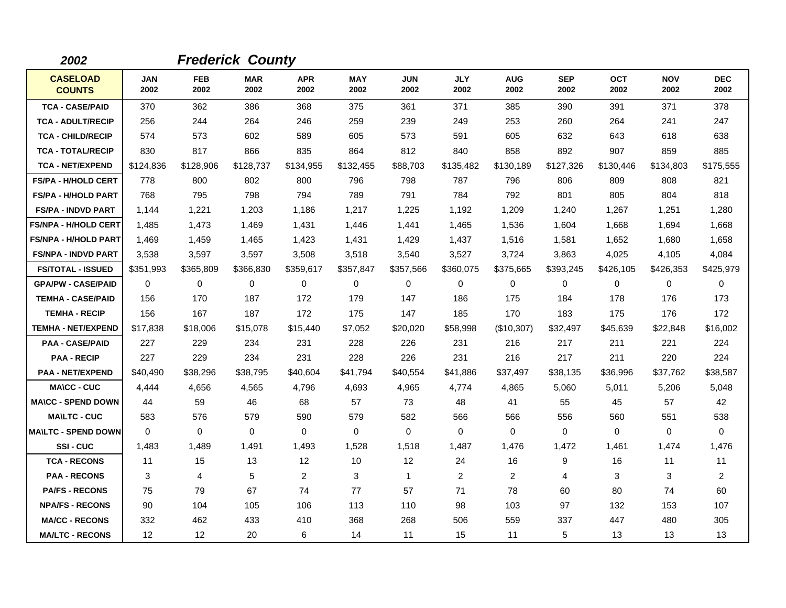| 2002                             |                    |                    | <b>Frederick County</b> |                    |                    |                    |                    |                    |                    |                    |                    |                    |
|----------------------------------|--------------------|--------------------|-------------------------|--------------------|--------------------|--------------------|--------------------|--------------------|--------------------|--------------------|--------------------|--------------------|
| <b>CASELOAD</b><br><b>COUNTS</b> | <b>JAN</b><br>2002 | <b>FEB</b><br>2002 | <b>MAR</b><br>2002      | <b>APR</b><br>2002 | <b>MAY</b><br>2002 | <b>JUN</b><br>2002 | <b>JLY</b><br>2002 | <b>AUG</b><br>2002 | <b>SEP</b><br>2002 | <b>OCT</b><br>2002 | <b>NOV</b><br>2002 | <b>DEC</b><br>2002 |
| <b>TCA - CASE/PAID</b>           | 370                | 362                | 386                     | 368                | 375                | 361                | 371                | 385                | 390                | 391                | 371                | 378                |
| <b>TCA - ADULT/RECIP</b>         | 256                | 244                | 264                     | 246                | 259                | 239                | 249                | 253                | 260                | 264                | 241                | 247                |
| <b>TCA - CHILD/RECIP</b>         | 574                | 573                | 602                     | 589                | 605                | 573                | 591                | 605                | 632                | 643                | 618                | 638                |
| <b>TCA - TOTAL/RECIP</b>         | 830                | 817                | 866                     | 835                | 864                | 812                | 840                | 858                | 892                | 907                | 859                | 885                |
| <b>TCA - NET/EXPEND</b>          | \$124,836          | \$128,906          | \$128,737               | \$134,955          | \$132,455          | \$88,703           | \$135,482          | \$130,189          | \$127,326          | \$130,446          | \$134,803          | \$175,555          |
| <b>FS/PA - H/HOLD CERT</b>       | 778                | 800                | 802                     | 800                | 796                | 798                | 787                | 796                | 806                | 809                | 808                | 821                |
| <b>FS/PA - H/HOLD PART</b>       | 768                | 795                | 798                     | 794                | 789                | 791                | 784                | 792                | 801                | 805                | 804                | 818                |
| <b>FS/PA - INDVD PART</b>        | 1,144              | 1,221              | 1,203                   | 1,186              | 1,217              | 1,225              | 1,192              | 1,209              | 1,240              | 1,267              | 1,251              | 1,280              |
| <b>FS/NPA - H/HOLD CERT</b>      | 1,485              | 1,473              | 1,469                   | 1,431              | 1,446              | 1,441              | 1,465              | 1,536              | 1,604              | 1,668              | 1,694              | 1,668              |
| <b>FS/NPA - H/HOLD PART</b>      | 1,469              | 1,459              | 1,465                   | 1,423              | 1,431              | 1,429              | 1,437              | 1,516              | 1,581              | 1,652              | 1,680              | 1,658              |
| <b>FS/NPA - INDVD PART</b>       | 3,538              | 3,597              | 3,597                   | 3,508              | 3,518              | 3,540              | 3,527              | 3,724              | 3,863              | 4,025              | 4,105              | 4,084              |
| <b>FS/TOTAL - ISSUED</b>         | \$351,993          | \$365,809          | \$366,830               | \$359,617          | \$357,847          | \$357,566          | \$360,075          | \$375,665          | \$393,245          | \$426,105          | \$426,353          | \$425,979          |
| <b>GPA/PW - CASE/PAID</b>        | 0                  | 0                  | 0                       | 0                  | 0                  | 0                  | 0                  | 0                  | 0                  | 0                  | 0                  | 0                  |
| <b>TEMHA - CASE/PAID</b>         | 156                | 170                | 187                     | 172                | 179                | 147                | 186                | 175                | 184                | 178                | 176                | 173                |
| <b>TEMHA - RECIP</b>             | 156                | 167                | 187                     | 172                | 175                | 147                | 185                | 170                | 183                | 175                | 176                | 172                |
| <b>TEMHA - NET/EXPEND</b>        | \$17,838           | \$18,006           | \$15,078                | \$15,440           | \$7,052            | \$20,020           | \$58,998           | (\$10,307)         | \$32,497           | \$45,639           | \$22,848           | \$16,002           |
| <b>PAA - CASE/PAID</b>           | 227                | 229                | 234                     | 231                | 228                | 226                | 231                | 216                | 217                | 211                | 221                | 224                |
| <b>PAA - RECIP</b>               | 227                | 229                | 234                     | 231                | 228                | 226                | 231                | 216                | 217                | 211                | 220                | 224                |
| <b>PAA - NET/EXPEND</b>          | \$40,490           | \$38,296           | \$38,795                | \$40,604           | \$41,794           | \$40,554           | \$41,886           | \$37,497           | \$38,135           | \$36,996           | \$37,762           | \$38,587           |
| <b>MA\CC - CUC</b>               | 4.444              | 4,656              | 4,565                   | 4.796              | 4,693              | 4,965              | 4.774              | 4,865              | 5,060              | 5,011              | 5,206              | 5,048              |
| <b>MA\CC - SPEND DOWN</b>        | 44                 | 59                 | 46                      | 68                 | 57                 | 73                 | 48                 | 41                 | 55                 | 45                 | 57                 | 42                 |
| <b>MA\LTC - CUC</b>              | 583                | 576                | 579                     | 590                | 579                | 582                | 566                | 566                | 556                | 560                | 551                | 538                |
| <b>MAILTC - SPEND DOWN</b>       | $\Omega$           | $\Omega$           | $\mathbf 0$             | $\Omega$           | $\Omega$           | 0                  | $\Omega$           | 0                  | $\Omega$           | $\Omega$           | 0                  | $\Omega$           |
| SSI-CUC                          | 1,483              | 1,489              | 1,491                   | 1,493              | 1,528              | 1,518              | 1,487              | 1,476              | 1,472              | 1,461              | 1,474              | 1,476              |
| <b>TCA - RECONS</b>              | 11                 | 15                 | 13                      | 12 <sup>2</sup>    | 10                 | 12                 | 24                 | 16                 | 9                  | 16                 | 11                 | 11                 |
| <b>PAA - RECONS</b>              | 3                  | 4                  | 5                       | $\overline{2}$     | 3                  | 1                  | $\overline{c}$     | $\overline{2}$     | 4                  | 3                  | 3                  | $\overline{a}$     |
| <b>PA/FS - RECONS</b>            | 75                 | 79                 | 67                      | 74                 | 77                 | 57                 | 71                 | 78                 | 60                 | 80                 | 74                 | 60                 |
| <b>NPA/FS - RECONS</b>           | 90                 | 104                | 105                     | 106                | 113                | 110                | 98                 | 103                | 97                 | 132                | 153                | 107                |
| <b>MA/CC - RECONS</b>            | 332                | 462                | 433                     | 410                | 368                | 268                | 506                | 559                | 337                | 447                | 480                | 305                |
| <b>MA/LTC - RECONS</b>           | $12 \overline{ }$  | $12 \overline{ }$  | 20                      | 6                  | 14                 | 11                 | 15                 | 11                 | 5                  | 13                 | 13                 | 13                 |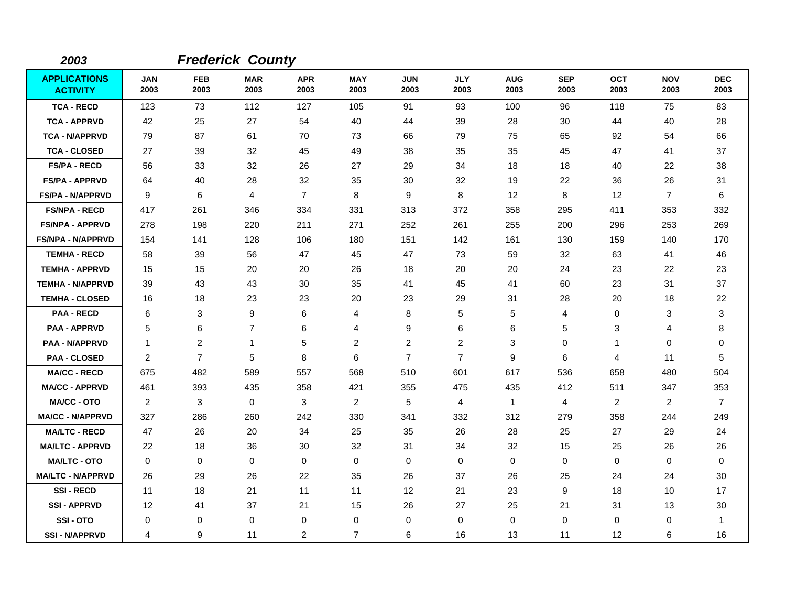| 2003                                   |                    |                    | <b>Frederick County</b> |                    |                    |                    |                    |                    |                    |                    |                    |                    |
|----------------------------------------|--------------------|--------------------|-------------------------|--------------------|--------------------|--------------------|--------------------|--------------------|--------------------|--------------------|--------------------|--------------------|
| <b>APPLICATIONS</b><br><b>ACTIVITY</b> | <b>JAN</b><br>2003 | <b>FEB</b><br>2003 | <b>MAR</b><br>2003      | <b>APR</b><br>2003 | <b>MAY</b><br>2003 | <b>JUN</b><br>2003 | <b>JLY</b><br>2003 | <b>AUG</b><br>2003 | <b>SEP</b><br>2003 | <b>OCT</b><br>2003 | <b>NOV</b><br>2003 | <b>DEC</b><br>2003 |
| <b>TCA - RECD</b>                      | 123                | 73                 | 112                     | 127                | 105                | 91                 | 93                 | 100                | 96                 | 118                | 75                 | 83                 |
| <b>TCA - APPRVD</b>                    | 42                 | 25                 | 27                      | 54                 | 40                 | 44                 | 39                 | 28                 | 30                 | 44                 | 40                 | 28                 |
| <b>TCA - N/APPRVD</b>                  | 79                 | 87                 | 61                      | 70                 | 73                 | 66                 | 79                 | 75                 | 65                 | 92                 | 54                 | 66                 |
| <b>TCA - CLOSED</b>                    | 27                 | 39                 | 32                      | 45                 | 49                 | 38                 | 35                 | 35                 | 45                 | 47                 | 41                 | 37                 |
| <b>FS/PA - RECD</b>                    | 56                 | 33                 | 32                      | 26                 | 27                 | 29                 | 34                 | 18                 | 18                 | 40                 | 22                 | 38                 |
| <b>FS/PA - APPRVD</b>                  | 64                 | 40                 | 28                      | 32                 | 35                 | 30                 | 32                 | 19                 | 22                 | 36                 | 26                 | 31                 |
| <b>FS/PA - N/APPRVD</b>                | 9                  | 6                  | $\overline{4}$          | $\overline{7}$     | 8                  | 9                  | 8                  | 12                 | 8                  | 12                 | $\overline{7}$     | 6                  |
| <b>FS/NPA - RECD</b>                   | 417                | 261                | 346                     | 334                | 331                | 313                | 372                | 358                | 295                | 411                | 353                | 332                |
| <b>FS/NPA - APPRVD</b>                 | 278                | 198                | 220                     | 211                | 271                | 252                | 261                | 255                | 200                | 296                | 253                | 269                |
| FS/NPA - N/APPRVD                      | 154                | 141                | 128                     | 106                | 180                | 151                | 142                | 161                | 130                | 159                | 140                | 170                |
| <b>TEMHA - RECD</b>                    | 58                 | 39                 | 56                      | 47                 | 45                 | 47                 | 73                 | 59                 | 32                 | 63                 | 41                 | 46                 |
| <b>TEMHA - APPRVD</b>                  | 15                 | 15                 | 20                      | 20                 | 26                 | 18                 | 20                 | 20                 | 24                 | 23                 | 22                 | 23                 |
| <b>TEMHA - N/APPRVD</b>                | 39                 | 43                 | 43                      | 30                 | 35                 | 41                 | 45                 | 41                 | 60                 | 23                 | 31                 | 37                 |
| <b>TEMHA - CLOSED</b>                  | 16                 | 18                 | 23                      | 23                 | 20                 | 23                 | 29                 | 31                 | 28                 | 20                 | 18                 | 22                 |
| <b>PAA - RECD</b>                      | 6                  | 3                  | 9                       | 6                  | 4                  | 8                  | 5                  | 5                  | 4                  | 0                  | 3                  | 3                  |
| <b>PAA - APPRVD</b>                    | 5                  | 6                  | $\overline{7}$          | 6                  | 4                  | 9                  | 6                  | 6                  | 5                  | 3                  | 4                  | 8                  |
| <b>PAA - N/APPRVD</b>                  | $\overline{1}$     | 2                  | $\mathbf{1}$            | 5                  | 2                  | $\overline{2}$     | 2                  | 3                  | 0                  | $\mathbf 1$        | 0                  | 0                  |
| <b>PAA - CLOSED</b>                    | 2                  | $\overline{7}$     | 5                       | 8                  | 6                  | 7                  | $\overline{7}$     | 9                  | 6                  | 4                  | 11                 | 5                  |
| <b>MA/CC - RECD</b>                    | 675                | 482                | 589                     | 557                | 568                | 510                | 601                | 617                | 536                | 658                | 480                | 504                |
| <b>MA/CC - APPRVD</b>                  | 461                | 393                | 435                     | 358                | 421                | 355                | 475                | 435                | 412                | 511                | 347                | 353                |
| <b>MA/CC - OTO</b>                     | 2                  | 3                  | $\mathbf 0$             | 3                  | $\overline{2}$     | 5                  | 4                  | $\mathbf{1}$       | $\overline{4}$     | 2                  | $\overline{2}$     | $\overline{7}$     |
| <b>MA/CC - N/APPRVD</b>                | 327                | 286                | 260                     | 242                | 330                | 341                | 332                | 312                | 279                | 358                | 244                | 249                |
| <b>MA/LTC - RECD</b>                   | 47                 | 26                 | 20                      | 34                 | 25                 | 35                 | 26                 | 28                 | 25                 | 27                 | 29                 | 24                 |
| <b>MA/LTC - APPRVD</b>                 | 22                 | 18                 | 36                      | 30                 | 32                 | 31                 | 34                 | 32                 | 15                 | 25                 | 26                 | 26                 |
| <b>MA/LTC - OTO</b>                    | 0                  | 0                  | 0                       | 0                  | 0                  | $\mathbf 0$        | 0                  | $\mathbf 0$        | $\mathbf 0$        | 0                  | 0                  | 0                  |
| <b>MA/LTC - N/APPRVD</b>               | 26                 | 29                 | 26                      | 22                 | 35                 | 26                 | 37                 | 26                 | 25                 | 24                 | 24                 | 30                 |
| <b>SSI-RECD</b>                        | 11                 | 18                 | 21                      | 11                 | 11                 | 12                 | 21                 | 23                 | 9                  | 18                 | 10                 | 17                 |
| <b>SSI-APPRVD</b>                      | 12                 | 41                 | 37                      | 21                 | 15                 | 26                 | 27                 | 25                 | 21                 | 31                 | 13                 | 30                 |
| SSI-OTO                                | 0                  | 0                  | 0                       | 0                  | 0                  | 0                  | $\mathbf 0$        | 0                  | 0                  | 0                  | 0                  | -1                 |
| <b>SSI-N/APPRVD</b>                    | 4                  | 9                  | 11                      | 2                  | $\overline{7}$     | 6                  | 16                 | 13                 | 11                 | 12                 | 6                  | 16                 |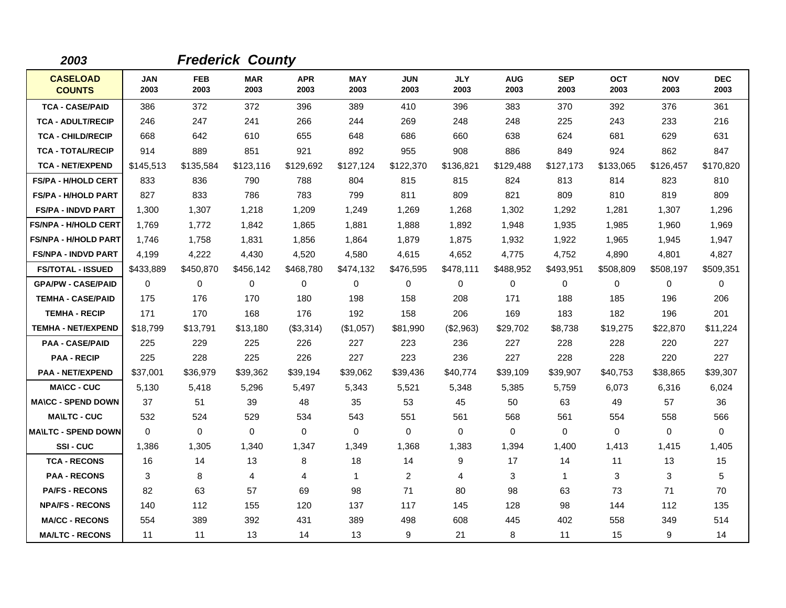| 2003                             |                    |                    | <b>Frederick County</b> |                    |                    |                    |                    |                    |                    |                    |                    |                    |
|----------------------------------|--------------------|--------------------|-------------------------|--------------------|--------------------|--------------------|--------------------|--------------------|--------------------|--------------------|--------------------|--------------------|
| <b>CASELOAD</b><br><b>COUNTS</b> | <b>JAN</b><br>2003 | <b>FEB</b><br>2003 | <b>MAR</b><br>2003      | <b>APR</b><br>2003 | <b>MAY</b><br>2003 | <b>JUN</b><br>2003 | <b>JLY</b><br>2003 | <b>AUG</b><br>2003 | <b>SEP</b><br>2003 | <b>OCT</b><br>2003 | <b>NOV</b><br>2003 | <b>DEC</b><br>2003 |
| <b>TCA - CASE/PAID</b>           | 386                | 372                | 372                     | 396                | 389                | 410                | 396                | 383                | 370                | 392                | 376                | 361                |
| <b>TCA - ADULT/RECIP</b>         | 246                | 247                | 241                     | 266                | 244                | 269                | 248                | 248                | 225                | 243                | 233                | 216                |
| <b>TCA - CHILD/RECIP</b>         | 668                | 642                | 610                     | 655                | 648                | 686                | 660                | 638                | 624                | 681                | 629                | 631                |
| <b>TCA - TOTAL/RECIP</b>         | 914                | 889                | 851                     | 921                | 892                | 955                | 908                | 886                | 849                | 924                | 862                | 847                |
| <b>TCA - NET/EXPEND</b>          | \$145,513          | \$135,584          | \$123,116               | \$129,692          | \$127,124          | \$122,370          | \$136.821          | \$129.488          | \$127,173          | \$133,065          | \$126,457          | \$170,820          |
| <b>FS/PA - H/HOLD CERT</b>       | 833                | 836                | 790                     | 788                | 804                | 815                | 815                | 824                | 813                | 814                | 823                | 810                |
| <b>FS/PA - H/HOLD PART</b>       | 827                | 833                | 786                     | 783                | 799                | 811                | 809                | 821                | 809                | 810                | 819                | 809                |
| <b>FS/PA - INDVD PART</b>        | 1,300              | 1,307              | 1,218                   | 1,209              | 1,249              | 1,269              | 1,268              | 1,302              | 1,292              | 1,281              | 1,307              | 1,296              |
| <b>FS/NPA - H/HOLD CERT</b>      | 1,769              | 1,772              | 1,842                   | 1,865              | 1,881              | 1.888              | 1,892              | 1,948              | 1,935              | 1,985              | 1,960              | 1,969              |
| <b>FS/NPA - H/HOLD PART</b>      | 1,746              | 1,758              | 1,831                   | 1,856              | 1,864              | 1,879              | 1,875              | 1,932              | 1,922              | 1,965              | 1,945              | 1,947              |
| <b>FS/NPA - INDVD PART</b>       | 4,199              | 4,222              | 4,430                   | 4,520              | 4,580              | 4,615              | 4,652              | 4,775              | 4,752              | 4,890              | 4,801              | 4,827              |
| <b>FS/TOTAL - ISSUED</b>         | \$433,889          | \$450,870          | \$456,142               | \$468,780          | \$474,132          | \$476,595          | \$478,111          | \$488,952          | \$493,951          | \$508,809          | \$508,197          | \$509,351          |
| <b>GPA/PW - CASE/PAID</b>        | $\Omega$           | 0                  | $\mathbf 0$             | 0                  | 0                  | 0                  | $\mathbf 0$        | 0                  | 0                  | 0                  | 0                  | 0                  |
| <b>TEMHA - CASE/PAID</b>         | 175                | 176                | 170                     | 180                | 198                | 158                | 208                | 171                | 188                | 185                | 196                | 206                |
| <b>TEMHA - RECIP</b>             | 171                | 170                | 168                     | 176                | 192                | 158                | 206                | 169                | 183                | 182                | 196                | 201                |
| <b>TEMHA - NET/EXPEND</b>        | \$18,799           | \$13,791           | \$13,180                | (\$3,314)          | (\$1,057)          | \$81,990           | (\$2,963)          | \$29,702           | \$8,738            | \$19,275           | \$22,870           | \$11,224           |
| <b>PAA - CASE/PAID</b>           | 225                | 229                | 225                     | 226                | 227                | 223                | 236                | 227                | 228                | 228                | 220                | 227                |
| <b>PAA - RECIP</b>               | 225                | 228                | 225                     | 226                | 227                | 223                | 236                | 227                | 228                | 228                | 220                | 227                |
| <b>PAA - NET/EXPEND</b>          | \$37,001           | \$36,979           | \$39,362                | \$39,194           | \$39,062           | \$39,436           | \$40,774           | \$39,109           | \$39,907           | \$40,753           | \$38,865           | \$39,307           |
| <b>MA\CC - CUC</b>               | 5,130              | 5,418              | 5,296                   | 5,497              | 5,343              | 5,521              | 5,348              | 5,385              | 5,759              | 6,073              | 6,316              | 6,024              |
| <b>MA\CC - SPEND DOWN</b>        | 37                 | 51                 | 39                      | 48                 | 35                 | 53                 | 45                 | 50                 | 63                 | 49                 | 57                 | 36                 |
| <b>MA\LTC - CUC</b>              | 532                | 524                | 529                     | 534                | 543                | 551                | 561                | 568                | 561                | 554                | 558                | 566                |
| <b>MAILTC - SPEND DOWN</b>       | $\Omega$           | $\Omega$           | 0                       | 0                  | 0                  | 0                  | $\Omega$           | 0                  | 0                  | 0                  | 0                  | 0                  |
| SSI-CUC                          | 1,386              | 1,305              | 1,340                   | 1,347              | 1,349              | 1,368              | 1,383              | 1,394              | 1,400              | 1,413              | 1,415              | 1,405              |
| <b>TCA - RECONS</b>              | 16                 | 14                 | 13                      | 8                  | 18                 | 14                 | 9                  | 17                 | 14                 | 11                 | 13                 | 15                 |
| <b>PAA - RECONS</b>              | 3                  | 8                  | 4                       | 4                  | $\mathbf{1}$       | 2                  | 4                  | 3                  | $\mathbf{1}$       | 3                  | 3                  | 5                  |
| <b>PA/FS - RECONS</b>            | 82                 | 63                 | 57                      | 69                 | 98                 | 71                 | 80                 | 98                 | 63                 | 73                 | 71                 | 70                 |
| <b>NPA/FS - RECONS</b>           | 140                | 112                | 155                     | 120                | 137                | 117                | 145                | 128                | 98                 | 144                | 112                | 135                |
| <b>MA/CC - RECONS</b>            | 554                | 389                | 392                     | 431                | 389                | 498                | 608                | 445                | 402                | 558                | 349                | 514                |
| <b>MA/LTC - RECONS</b>           | 11                 | 11                 | 13                      | 14                 | 13                 | 9                  | 21                 | 8                  | 11                 | 15                 | 9                  | 14                 |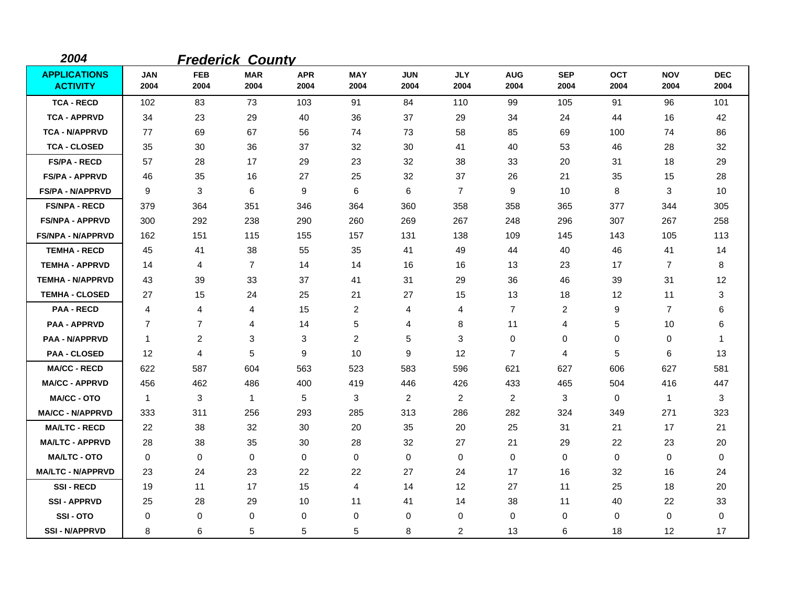| 2004                                   |                    |                    | <b>Frederick County</b> |                    |                    |                    |                    |                    |                    |                    |                    |                    |
|----------------------------------------|--------------------|--------------------|-------------------------|--------------------|--------------------|--------------------|--------------------|--------------------|--------------------|--------------------|--------------------|--------------------|
| <b>APPLICATIONS</b><br><b>ACTIVITY</b> | <b>JAN</b><br>2004 | <b>FEB</b><br>2004 | <b>MAR</b><br>2004      | <b>APR</b><br>2004 | <b>MAY</b><br>2004 | <b>JUN</b><br>2004 | <b>JLY</b><br>2004 | <b>AUG</b><br>2004 | <b>SEP</b><br>2004 | <b>OCT</b><br>2004 | <b>NOV</b><br>2004 | <b>DEC</b><br>2004 |
| <b>TCA - RECD</b>                      | 102                | 83                 | 73                      | 103                | 91                 | 84                 | 110                | 99                 | 105                | 91                 | 96                 | 101                |
| <b>TCA - APPRVD</b>                    | 34                 | 23                 | 29                      | 40                 | 36                 | 37                 | 29                 | 34                 | 24                 | 44                 | 16                 | 42                 |
| <b>TCA - N/APPRVD</b>                  | 77                 | 69                 | 67                      | 56                 | 74                 | 73                 | 58                 | 85                 | 69                 | 100                | 74                 | 86                 |
| <b>TCA - CLOSED</b>                    | 35                 | 30                 | 36                      | 37                 | 32                 | 30                 | 41                 | 40                 | 53                 | 46                 | 28                 | 32                 |
| <b>FS/PA - RECD</b>                    | 57                 | 28                 | 17                      | 29                 | 23                 | 32                 | 38                 | 33                 | 20                 | 31                 | 18                 | 29                 |
| <b>FS/PA - APPRVD</b>                  | 46                 | 35                 | 16                      | 27                 | 25                 | 32                 | 37                 | 26                 | 21                 | 35                 | 15                 | 28                 |
| <b>FS/PA - N/APPRVD</b>                | 9                  | 3                  | 6                       | 9                  | 6                  | 6                  | $\overline{7}$     | 9                  | 10                 | 8                  | 3                  | 10                 |
| <b>FS/NPA - RECD</b>                   | 379                | 364                | 351                     | 346                | 364                | 360                | 358                | 358                | 365                | 377                | 344                | 305                |
| <b>FS/NPA - APPRVD</b>                 | 300                | 292                | 238                     | 290                | 260                | 269                | 267                | 248                | 296                | 307                | 267                | 258                |
| <b>FS/NPA - N/APPRVD</b>               | 162                | 151                | 115                     | 155                | 157                | 131                | 138                | 109                | 145                | 143                | 105                | 113                |
| <b>TEMHA - RECD</b>                    | 45                 | 41                 | 38                      | 55                 | 35                 | 41                 | 49                 | 44                 | 40                 | 46                 | 41                 | 14                 |
| <b>TEMHA - APPRVD</b>                  | 14                 | 4                  | $\overline{7}$          | 14                 | 14                 | 16                 | 16                 | 13                 | 23                 | 17                 | $\overline{7}$     | 8                  |
| <b>TEMHA - N/APPRVD</b>                | 43                 | 39                 | 33                      | 37                 | 41                 | 31                 | 29                 | 36                 | 46                 | 39                 | 31                 | 12                 |
| <b>TEMHA - CLOSED</b>                  | 27                 | 15                 | 24                      | 25                 | 21                 | 27                 | 15                 | 13                 | 18                 | 12                 | 11                 | 3                  |
| <b>PAA - RECD</b>                      | 4                  | 4                  | 4                       | 15                 | $\overline{2}$     | 4                  | 4                  | $\overline{7}$     | $\overline{c}$     | 9                  | $\overline{7}$     | 6                  |
| <b>PAA - APPRVD</b>                    | $\overline{7}$     | $\overline{7}$     | 4                       | 14                 | $\mathbf 5$        | 4                  | 8                  | 11                 | 4                  | 5                  | 10                 | 6                  |
| <b>PAA - N/APPRVD</b>                  | $\mathbf{1}$       | 2                  | 3                       | 3                  | $\overline{2}$     | 5                  | 3                  | 0                  | 0                  | 0                  | 0                  | -1                 |
| <b>PAA - CLOSED</b>                    | $12 \overline{ }$  | 4                  | 5                       | 9                  | 10                 | 9                  | 12                 | $\overline{7}$     | 4                  | 5                  | 6                  | 13                 |
| <b>MA/CC - RECD</b>                    | 622                | 587                | 604                     | 563                | 523                | 583                | 596                | 621                | 627                | 606                | 627                | 581                |
| <b>MA/CC - APPRVD</b>                  | 456                | 462                | 486                     | 400                | 419                | 446                | 426                | 433                | 465                | 504                | 416                | 447                |
| <b>MA/CC - OTO</b>                     | $\mathbf{1}$       | 3                  | $\mathbf{1}$            | 5                  | 3                  | 2                  | 2                  | 2                  | 3                  | $\mathbf 0$        | $\mathbf{1}$       | 3                  |
| <b>MA/CC - N/APPRVD</b>                | 333                | 311                | 256                     | 293                | 285                | 313                | 286                | 282                | 324                | 349                | 271                | 323                |
| <b>MA/LTC - RECD</b>                   | 22                 | 38                 | 32                      | 30                 | 20                 | 35                 | 20                 | 25                 | 31                 | 21                 | 17                 | 21                 |
| <b>MA/LTC - APPRVD</b>                 | 28                 | 38                 | 35                      | 30                 | 28                 | 32                 | 27                 | 21                 | 29                 | 22                 | 23                 | 20                 |
| <b>MA/LTC - OTO</b>                    | 0                  | 0                  | 0                       | 0                  | 0                  | 0                  | 0                  | 0                  | 0                  | 0                  | 0                  | 0                  |
| <b>MA/LTC - N/APPRVD</b>               | 23                 | 24                 | 23                      | 22                 | 22                 | 27                 | 24                 | 17                 | 16                 | 32                 | 16                 | 24                 |
| <b>SSI-RECD</b>                        | 19                 | 11                 | 17                      | 15                 | 4                  | 14                 | 12                 | 27                 | 11                 | 25                 | 18                 | 20                 |
| <b>SSI-APPRVD</b>                      | 25                 | 28                 | 29                      | 10                 | 11                 | 41                 | 14                 | 38                 | 11                 | 40                 | 22                 | 33                 |
| SSI-OTO                                | 0                  | 0                  | $\mathbf 0$             | 0                  | 0                  | 0                  | 0                  | 0                  | 0                  | 0                  | 0                  | 0                  |
| <b>SSI-N/APPRVD</b>                    | 8                  | 6                  | 5                       | 5                  | 5                  | 8                  | $\overline{2}$     | 13                 | 6                  | 18                 | 12                 | 17                 |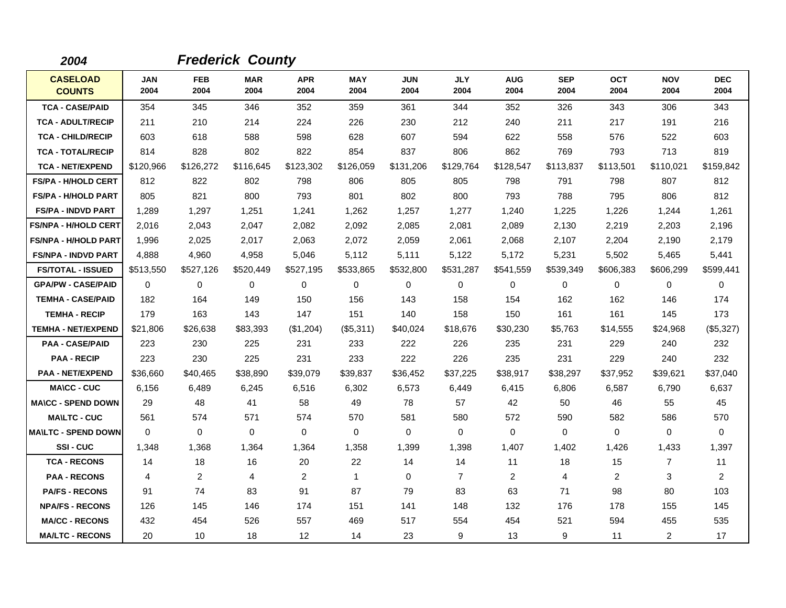| 2004                             |                    |                    | <b>Frederick County</b> |                    |                    |                    |                    |                    |                    |                    |                    |                    |
|----------------------------------|--------------------|--------------------|-------------------------|--------------------|--------------------|--------------------|--------------------|--------------------|--------------------|--------------------|--------------------|--------------------|
| <b>CASELOAD</b><br><b>COUNTS</b> | <b>JAN</b><br>2004 | <b>FEB</b><br>2004 | <b>MAR</b><br>2004      | <b>APR</b><br>2004 | <b>MAY</b><br>2004 | <b>JUN</b><br>2004 | <b>JLY</b><br>2004 | <b>AUG</b><br>2004 | <b>SEP</b><br>2004 | <b>OCT</b><br>2004 | <b>NOV</b><br>2004 | <b>DEC</b><br>2004 |
| <b>TCA - CASE/PAID</b>           | 354                | 345                | 346                     | 352                | 359                | 361                | 344                | 352                | 326                | 343                | 306                | 343                |
| <b>TCA - ADULT/RECIP</b>         | 211                | 210                | 214                     | 224                | 226                | 230                | 212                | 240                | 211                | 217                | 191                | 216                |
| <b>TCA - CHILD/RECIP</b>         | 603                | 618                | 588                     | 598                | 628                | 607                | 594                | 622                | 558                | 576                | 522                | 603                |
| <b>TCA - TOTAL/RECIP</b>         | 814                | 828                | 802                     | 822                | 854                | 837                | 806                | 862                | 769                | 793                | 713                | 819                |
| <b>TCA - NET/EXPEND</b>          | \$120,966          | \$126,272          | \$116,645               | \$123,302          | \$126,059          | \$131,206          | \$129,764          | \$128,547          | \$113,837          | \$113,501          | \$110,021          | \$159,842          |
| <b>FS/PA - H/HOLD CERT</b>       | 812                | 822                | 802                     | 798                | 806                | 805                | 805                | 798                | 791                | 798                | 807                | 812                |
| <b>FS/PA - H/HOLD PART</b>       | 805                | 821                | 800                     | 793                | 801                | 802                | 800                | 793                | 788                | 795                | 806                | 812                |
| <b>FS/PA - INDVD PART</b>        | 1,289              | 1,297              | 1,251                   | 1,241              | 1,262              | 1,257              | 1,277              | 1,240              | 1,225              | 1,226              | 1,244              | 1,261              |
| <b>FS/NPA - H/HOLD CERT</b>      | 2,016              | 2,043              | 2,047                   | 2,082              | 2,092              | 2,085              | 2,081              | 2,089              | 2,130              | 2,219              | 2,203              | 2,196              |
| <b>FS/NPA - H/HOLD PART</b>      | 1,996              | 2,025              | 2,017                   | 2,063              | 2,072              | 2,059              | 2,061              | 2,068              | 2,107              | 2,204              | 2,190              | 2,179              |
| <b>FS/NPA - INDVD PART</b>       | 4,888              | 4,960              | 4,958                   | 5,046              | 5,112              | 5,111              | 5,122              | 5,172              | 5,231              | 5,502              | 5,465              | 5,441              |
| <b>FS/TOTAL - ISSUED</b>         | \$513,550          | \$527,126          | \$520,449               | \$527,195          | \$533,865          | \$532,800          | \$531,287          | \$541,559          | \$539,349          | \$606,383          | \$606,299          | \$599,441          |
| <b>GPA/PW - CASE/PAID</b>        | $\mathbf 0$        | 0                  | $\mathbf 0$             | 0                  | $\mathbf 0$        | 0                  | 0                  | 0                  | 0                  | 0                  | $\mathbf 0$        | 0                  |
| <b>TEMHA - CASE/PAID</b>         | 182                | 164                | 149                     | 150                | 156                | 143                | 158                | 154                | 162                | 162                | 146                | 174                |
| <b>TEMHA - RECIP</b>             | 179                | 163                | 143                     | 147                | 151                | 140                | 158                | 150                | 161                | 161                | 145                | 173                |
| <b>TEMHA - NET/EXPEND</b>        | \$21,806           | \$26,638           | \$83,393                | (\$1,204)          | (\$5,311)          | \$40,024           | \$18,676           | \$30,230           | \$5,763            | \$14,555           | \$24,968           | (\$5,327)          |
| <b>PAA - CASE/PAID</b>           | 223                | 230                | 225                     | 231                | 233                | 222                | 226                | 235                | 231                | 229                | 240                | 232                |
| <b>PAA - RECIP</b>               | 223                | 230                | 225                     | 231                | 233                | 222                | 226                | 235                | 231                | 229                | 240                | 232                |
| <b>PAA - NET/EXPEND</b>          | \$36,660           | \$40,465           | \$38,890                | \$39,079           | \$39,837           | \$36,452           | \$37,225           | \$38,917           | \$38,297           | \$37,952           | \$39,621           | \$37,040           |
| <b>MA\CC - CUC</b>               | 6,156              | 6,489              | 6,245                   | 6,516              | 6,302              | 6,573              | 6,449              | 6,415              | 6,806              | 6,587              | 6,790              | 6,637              |
| <b>MA\CC - SPEND DOWN</b>        | 29                 | 48                 | 41                      | 58                 | 49                 | 78                 | 57                 | 42                 | 50                 | 46                 | 55                 | 45                 |
| <b>MA\LTC - CUC</b>              | 561                | 574                | 571                     | 574                | 570                | 581                | 580                | 572                | 590                | 582                | 586                | 570                |
| <b>MAILTC - SPEND DOWN</b>       | $\Omega$           | $\Omega$           | $\mathbf 0$             | $\Omega$           | $\Omega$           | $\mathbf 0$        | $\Omega$           | 0                  | $\Omega$           | $\Omega$           | $\mathbf 0$        | 0                  |
| SSI-CUC                          | 1,348              | 1,368              | 1,364                   | 1,364              | 1,358              | 1,399              | 1,398              | 1,407              | 1,402              | 1,426              | 1,433              | 1,397              |
| <b>TCA - RECONS</b>              | 14                 | 18                 | 16                      | 20                 | 22                 | 14                 | 14                 | 11                 | 18                 | 15                 | $\overline{7}$     | 11                 |
| <b>PAA - RECONS</b>              | 4                  | $\overline{c}$     | 4                       | $\overline{2}$     | $\mathbf{1}$       | $\mathbf 0$        | $\overline{7}$     | $\overline{c}$     | 4                  | $\overline{2}$     | 3                  | $\overline{2}$     |
| <b>PA/FS - RECONS</b>            | 91                 | 74                 | 83                      | 91                 | 87                 | 79                 | 83                 | 63                 | 71                 | 98                 | 80                 | 103                |
| <b>NPA/FS - RECONS</b>           | 126                | 145                | 146                     | 174                | 151                | 141                | 148                | 132                | 176                | 178                | 155                | 145                |
| <b>MA/CC - RECONS</b>            | 432                | 454                | 526                     | 557                | 469                | 517                | 554                | 454                | 521                | 594                | 455                | 535                |
| <b>MA/LTC - RECONS</b>           | 20                 | 10                 | 18                      | 12                 | 14                 | 23                 | 9                  | 13                 | 9                  | 11                 | 2                  | 17                 |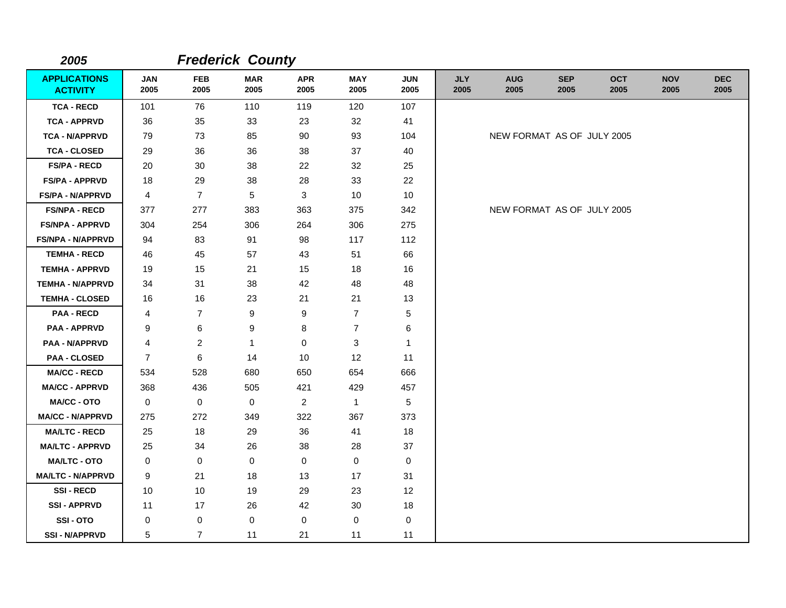| 2005                                   |                    |                    | <b>Frederick County</b> |                    |                    |                    |                    |                            |                    |                    |                    |                    |
|----------------------------------------|--------------------|--------------------|-------------------------|--------------------|--------------------|--------------------|--------------------|----------------------------|--------------------|--------------------|--------------------|--------------------|
| <b>APPLICATIONS</b><br><b>ACTIVITY</b> | <b>JAN</b><br>2005 | <b>FEB</b><br>2005 | <b>MAR</b><br>2005      | <b>APR</b><br>2005 | <b>MAY</b><br>2005 | <b>JUN</b><br>2005 | <b>JLY</b><br>2005 | <b>AUG</b><br>2005         | <b>SEP</b><br>2005 | <b>OCT</b><br>2005 | <b>NOV</b><br>2005 | <b>DEC</b><br>2005 |
| <b>TCA - RECD</b>                      | 101                | 76                 | 110                     | 119                | 120                | 107                |                    |                            |                    |                    |                    |                    |
| <b>TCA - APPRVD</b>                    | 36                 | 35                 | 33                      | 23                 | 32                 | 41                 |                    |                            |                    |                    |                    |                    |
| <b>TCA - N/APPRVD</b>                  | 79                 | 73                 | 85                      | 90                 | 93                 | 104                |                    | NEW FORMAT AS OF JULY 2005 |                    |                    |                    |                    |
| <b>TCA - CLOSED</b>                    | 29                 | 36                 | 36                      | 38                 | 37                 | 40                 |                    |                            |                    |                    |                    |                    |
| <b>FS/PA - RECD</b>                    | 20                 | 30                 | 38                      | 22                 | 32                 | 25                 |                    |                            |                    |                    |                    |                    |
| <b>FS/PA - APPRVD</b>                  | 18                 | 29                 | 38                      | 28                 | 33                 | 22                 |                    |                            |                    |                    |                    |                    |
| <b>FS/PA - N/APPRVD</b>                | 4                  | $\overline{7}$     | 5                       | $\mathbf{3}$       | 10                 | 10                 |                    |                            |                    |                    |                    |                    |
| <b>FS/NPA - RECD</b>                   | 377                | 277                | 383                     | 363                | 375                | 342                |                    | NEW FORMAT AS OF JULY 2005 |                    |                    |                    |                    |
| <b>FS/NPA - APPRVD</b>                 | 304                | 254                | 306                     | 264                | 306                | 275                |                    |                            |                    |                    |                    |                    |
| FS/NPA - N/APPRVD                      | 94                 | 83                 | 91                      | 98                 | 117                | 112                |                    |                            |                    |                    |                    |                    |
| <b>TEMHA - RECD</b>                    | 46                 | 45                 | 57                      | 43                 | 51                 | 66                 |                    |                            |                    |                    |                    |                    |
| <b>TEMHA - APPRVD</b>                  | 19                 | 15                 | 21                      | 15                 | 18                 | 16                 |                    |                            |                    |                    |                    |                    |
| <b>TEMHA - N/APPRVD</b>                | 34                 | 31                 | 38                      | 42                 | 48                 | 48                 |                    |                            |                    |                    |                    |                    |
| <b>TEMHA - CLOSED</b>                  | 16                 | 16                 | 23                      | 21                 | 21                 | 13                 |                    |                            |                    |                    |                    |                    |
| <b>PAA - RECD</b>                      | 4                  | $\overline{7}$     | 9                       | 9                  | $\overline{7}$     | 5                  |                    |                            |                    |                    |                    |                    |
| <b>PAA - APPRVD</b>                    | 9                  | 6                  | 9                       | 8                  | $\overline{7}$     | 6                  |                    |                            |                    |                    |                    |                    |
| <b>PAA - N/APPRVD</b>                  | 4                  | $\overline{2}$     | $\mathbf{1}$            | 0                  | 3                  | 1                  |                    |                            |                    |                    |                    |                    |
| <b>PAA - CLOSED</b>                    | $\overline{7}$     | 6                  | 14                      | 10                 | 12                 | 11                 |                    |                            |                    |                    |                    |                    |
| <b>MA/CC - RECD</b>                    | 534                | 528                | 680                     | 650                | 654                | 666                |                    |                            |                    |                    |                    |                    |
| <b>MA/CC - APPRVD</b>                  | 368                | 436                | 505                     | 421                | 429                | 457                |                    |                            |                    |                    |                    |                    |
| <b>MA/CC - OTO</b>                     | 0                  | $\mathbf 0$        | $\mathbf 0$             | $\overline{c}$     | $\mathbf{1}$       | $\sqrt{5}$         |                    |                            |                    |                    |                    |                    |
| <b>MA/CC - N/APPRVD</b>                | 275                | 272                | 349                     | 322                | 367                | 373                |                    |                            |                    |                    |                    |                    |
| <b>MA/LTC - RECD</b>                   | 25                 | 18                 | 29                      | 36                 | 41                 | 18                 |                    |                            |                    |                    |                    |                    |
| <b>MA/LTC - APPRVD</b>                 | 25                 | 34                 | 26                      | 38                 | 28                 | 37                 |                    |                            |                    |                    |                    |                    |
| <b>MA/LTC - OTO</b>                    | 0                  | 0                  | 0                       | 0                  | $\mathbf 0$        | $\pmb{0}$          |                    |                            |                    |                    |                    |                    |
| <b>MA/LTC - N/APPRVD</b>               | 9                  | 21                 | 18                      | 13                 | 17                 | 31                 |                    |                            |                    |                    |                    |                    |
| <b>SSI-RECD</b>                        | 10                 | 10                 | 19                      | 29                 | 23                 | 12                 |                    |                            |                    |                    |                    |                    |
| <b>SSI - APPRVD</b>                    | 11                 | 17                 | 26                      | 42                 | 30                 | 18                 |                    |                            |                    |                    |                    |                    |
| SSI-OTO                                | 0                  | 0                  | 0                       | 0                  | 0                  | 0                  |                    |                            |                    |                    |                    |                    |
| <b>SSI-N/APPRVD</b>                    | 5                  | $\overline{7}$     | 11                      | 21                 | 11                 | 11                 |                    |                            |                    |                    |                    |                    |